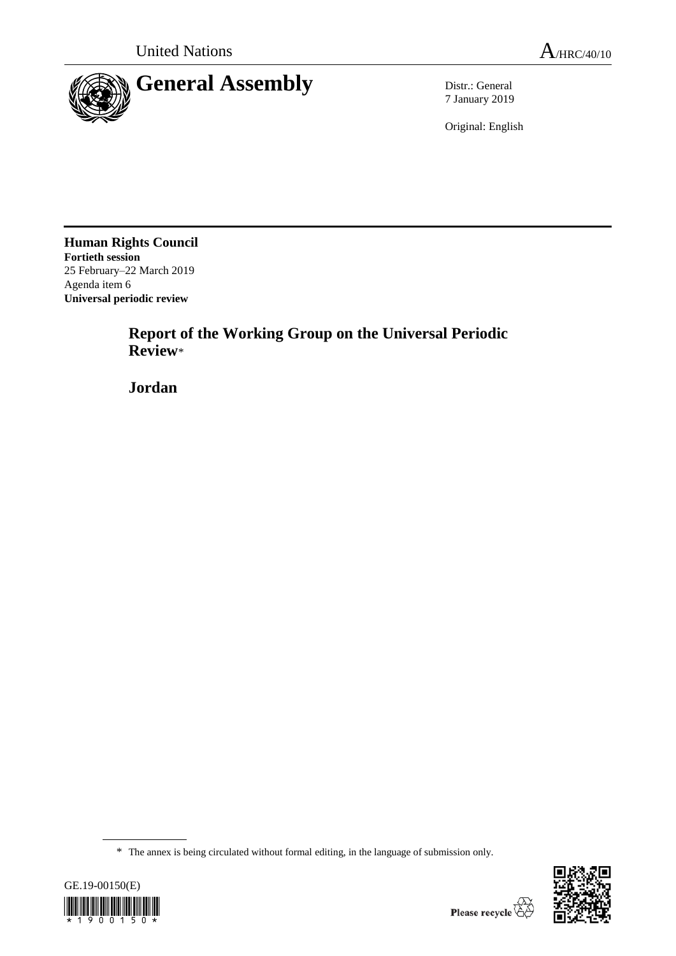

7 January 2019

Original: English

**Human Rights Council Fortieth session** 25 February–22 March 2019 Agenda item 6 **Universal periodic review**

> **Report of the Working Group on the Universal Periodic Review**\*

**Jordan**

<sup>\*</sup> The annex is being circulated without formal editing, in the language of submission only.



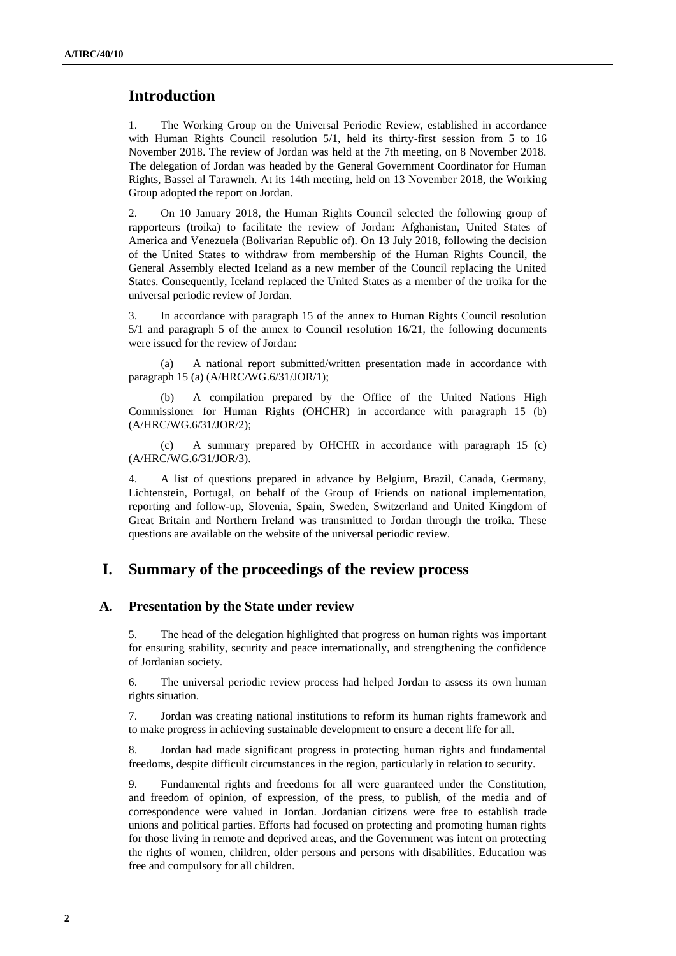# **Introduction**

1. The Working Group on the Universal Periodic Review, established in accordance with Human Rights Council resolution 5/1, held its thirty-first session from 5 to 16 November 2018. The review of Jordan was held at the 7th meeting, on 8 November 2018. The delegation of Jordan was headed by the General Government Coordinator for Human Rights, Bassel al Tarawneh. At its 14th meeting, held on 13 November 2018, the Working Group adopted the report on Jordan.

2. On 10 January 2018, the Human Rights Council selected the following group of rapporteurs (troika) to facilitate the review of Jordan: Afghanistan, United States of America and Venezuela (Bolivarian Republic of). On 13 July 2018, following the decision of the United States to withdraw from membership of the Human Rights Council, the General Assembly elected Iceland as a new member of the Council replacing the United States. Consequently, Iceland replaced the United States as a member of the troika for the universal periodic review of Jordan.

3. In accordance with paragraph 15 of the annex to Human Rights Council resolution 5/1 and paragraph 5 of the annex to Council resolution 16/21, the following documents were issued for the review of Jordan:

(a) A national report submitted/written presentation made in accordance with paragraph 15 (a) (A/HRC/WG.6/31/JOR/1);

(b) A compilation prepared by the Office of the United Nations High Commissioner for Human Rights (OHCHR) in accordance with paragraph 15 (b) (A/HRC/WG.6/31/JOR/2);

(c) A summary prepared by OHCHR in accordance with paragraph 15 (c) (A/HRC/WG.6/31/JOR/3).

4. A list of questions prepared in advance by Belgium, Brazil, Canada, Germany, Lichtenstein, Portugal, on behalf of the Group of Friends on national implementation, reporting and follow-up, Slovenia, Spain, Sweden, Switzerland and United Kingdom of Great Britain and Northern Ireland was transmitted to Jordan through the troika. These questions are available on the website of the universal periodic review.

### **I. Summary of the proceedings of the review process**

### **A. Presentation by the State under review**

5. The head of the delegation highlighted that progress on human rights was important for ensuring stability, security and peace internationally, and strengthening the confidence of Jordanian society.

6. The universal periodic review process had helped Jordan to assess its own human rights situation.

7. Jordan was creating national institutions to reform its human rights framework and to make progress in achieving sustainable development to ensure a decent life for all.

8. Jordan had made significant progress in protecting human rights and fundamental freedoms, despite difficult circumstances in the region, particularly in relation to security.

9. Fundamental rights and freedoms for all were guaranteed under the Constitution, and freedom of opinion, of expression, of the press, to publish, of the media and of correspondence were valued in Jordan. Jordanian citizens were free to establish trade unions and political parties. Efforts had focused on protecting and promoting human rights for those living in remote and deprived areas, and the Government was intent on protecting the rights of women, children, older persons and persons with disabilities. Education was free and compulsory for all children.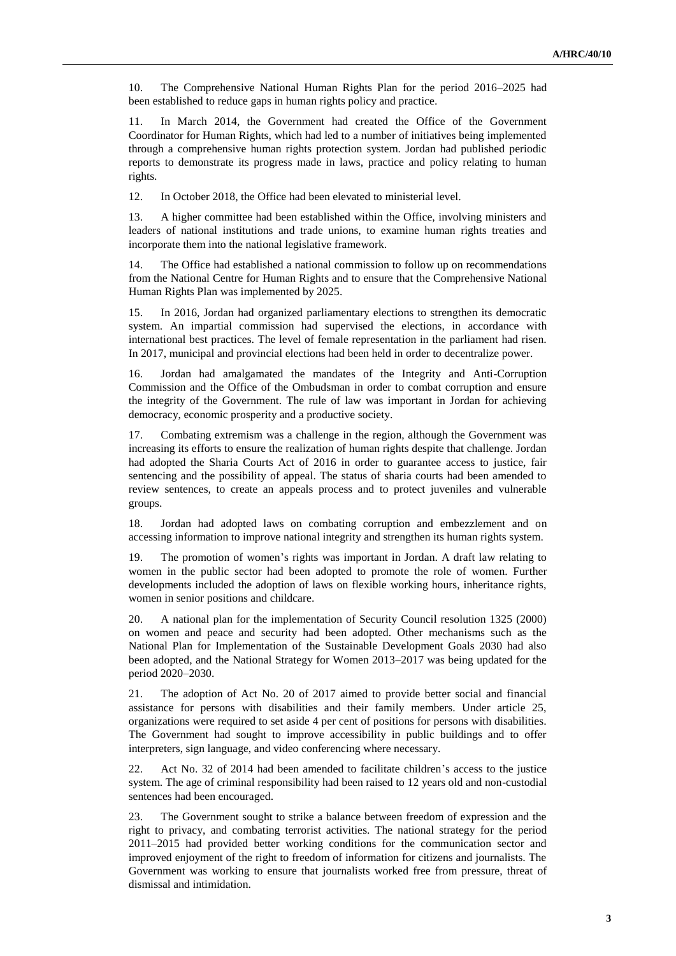10. The Comprehensive National Human Rights Plan for the period 2016–2025 had been established to reduce gaps in human rights policy and practice.

11. In March 2014, the Government had created the Office of the Government Coordinator for Human Rights, which had led to a number of initiatives being implemented through a comprehensive human rights protection system. Jordan had published periodic reports to demonstrate its progress made in laws, practice and policy relating to human rights.

12. In October 2018, the Office had been elevated to ministerial level.

13. A higher committee had been established within the Office, involving ministers and leaders of national institutions and trade unions, to examine human rights treaties and incorporate them into the national legislative framework.

14. The Office had established a national commission to follow up on recommendations from the National Centre for Human Rights and to ensure that the Comprehensive National Human Rights Plan was implemented by 2025.

15. In 2016, Jordan had organized parliamentary elections to strengthen its democratic system. An impartial commission had supervised the elections, in accordance with international best practices. The level of female representation in the parliament had risen. In 2017, municipal and provincial elections had been held in order to decentralize power.

16. Jordan had amalgamated the mandates of the Integrity and Anti-Corruption Commission and the Office of the Ombudsman in order to combat corruption and ensure the integrity of the Government. The rule of law was important in Jordan for achieving democracy, economic prosperity and a productive society.

17. Combating extremism was a challenge in the region, although the Government was increasing its efforts to ensure the realization of human rights despite that challenge. Jordan had adopted the Sharia Courts Act of 2016 in order to guarantee access to justice, fair sentencing and the possibility of appeal. The status of sharia courts had been amended to review sentences, to create an appeals process and to protect juveniles and vulnerable groups.

18. Jordan had adopted laws on combating corruption and embezzlement and on accessing information to improve national integrity and strengthen its human rights system.

19. The promotion of women's rights was important in Jordan. A draft law relating to women in the public sector had been adopted to promote the role of women. Further developments included the adoption of laws on flexible working hours, inheritance rights, women in senior positions and childcare.

20. A national plan for the implementation of Security Council resolution 1325 (2000) on women and peace and security had been adopted. Other mechanisms such as the National Plan for Implementation of the Sustainable Development Goals 2030 had also been adopted, and the National Strategy for Women 2013–2017 was being updated for the period 2020–2030.

21. The adoption of Act No. 20 of 2017 aimed to provide better social and financial assistance for persons with disabilities and their family members. Under article 25, organizations were required to set aside 4 per cent of positions for persons with disabilities. The Government had sought to improve accessibility in public buildings and to offer interpreters, sign language, and video conferencing where necessary.

22. Act No. 32 of 2014 had been amended to facilitate children's access to the justice system. The age of criminal responsibility had been raised to 12 years old and non-custodial sentences had been encouraged.

23. The Government sought to strike a balance between freedom of expression and the right to privacy, and combating terrorist activities. The national strategy for the period 2011–2015 had provided better working conditions for the communication sector and improved enjoyment of the right to freedom of information for citizens and journalists. The Government was working to ensure that journalists worked free from pressure, threat of dismissal and intimidation.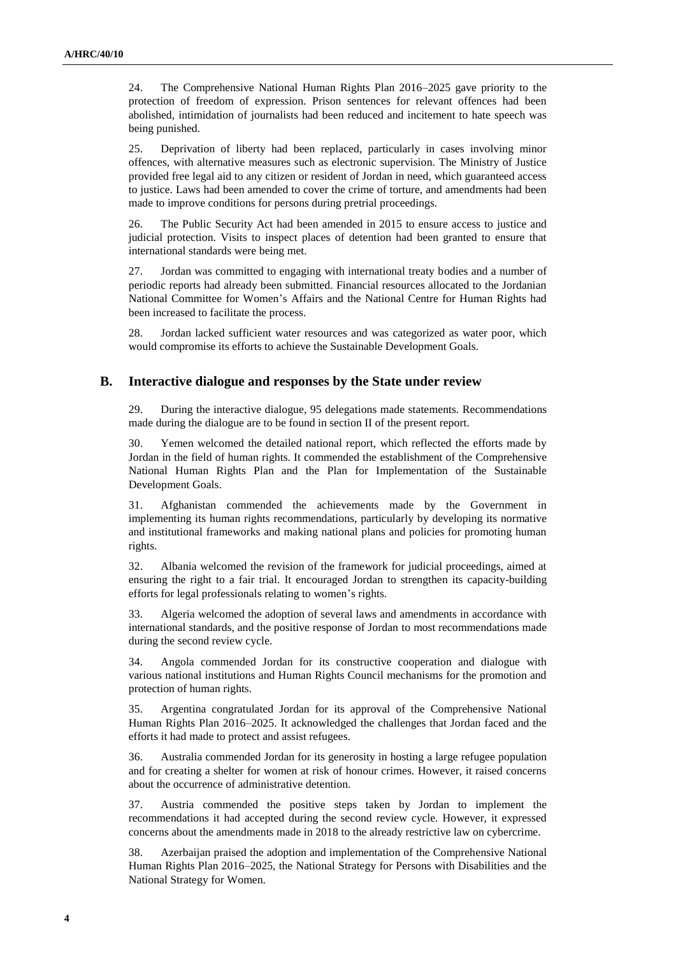24. The Comprehensive National Human Rights Plan 2016–2025 gave priority to the protection of freedom of expression. Prison sentences for relevant offences had been abolished, intimidation of journalists had been reduced and incitement to hate speech was being punished.

25. Deprivation of liberty had been replaced, particularly in cases involving minor offences, with alternative measures such as electronic supervision. The Ministry of Justice provided free legal aid to any citizen or resident of Jordan in need, which guaranteed access to justice. Laws had been amended to cover the crime of torture, and amendments had been made to improve conditions for persons during pretrial proceedings.

26. The Public Security Act had been amended in 2015 to ensure access to justice and judicial protection. Visits to inspect places of detention had been granted to ensure that international standards were being met.

27. Jordan was committed to engaging with international treaty bodies and a number of periodic reports had already been submitted. Financial resources allocated to the Jordanian National Committee for Women's Affairs and the National Centre for Human Rights had been increased to facilitate the process.

28. Jordan lacked sufficient water resources and was categorized as water poor, which would compromise its efforts to achieve the Sustainable Development Goals.

#### **B. Interactive dialogue and responses by the State under review**

29. During the interactive dialogue, 95 delegations made statements. Recommendations made during the dialogue are to be found in section II of the present report.

30. Yemen welcomed the detailed national report, which reflected the efforts made by Jordan in the field of human rights. It commended the establishment of the Comprehensive National Human Rights Plan and the Plan for Implementation of the Sustainable Development Goals.

31. Afghanistan commended the achievements made by the Government in implementing its human rights recommendations, particularly by developing its normative and institutional frameworks and making national plans and policies for promoting human rights.

32. Albania welcomed the revision of the framework for judicial proceedings, aimed at ensuring the right to a fair trial. It encouraged Jordan to strengthen its capacity-building efforts for legal professionals relating to women's rights.

33. Algeria welcomed the adoption of several laws and amendments in accordance with international standards, and the positive response of Jordan to most recommendations made during the second review cycle.

34. Angola commended Jordan for its constructive cooperation and dialogue with various national institutions and Human Rights Council mechanisms for the promotion and protection of human rights.

35. Argentina congratulated Jordan for its approval of the Comprehensive National Human Rights Plan 2016–2025. It acknowledged the challenges that Jordan faced and the efforts it had made to protect and assist refugees.

36. Australia commended Jordan for its generosity in hosting a large refugee population and for creating a shelter for women at risk of honour crimes. However, it raised concerns about the occurrence of administrative detention.

37. Austria commended the positive steps taken by Jordan to implement the recommendations it had accepted during the second review cycle. However, it expressed concerns about the amendments made in 2018 to the already restrictive law on cybercrime.

38. Azerbaijan praised the adoption and implementation of the Comprehensive National Human Rights Plan 2016–2025, the National Strategy for Persons with Disabilities and the National Strategy for Women.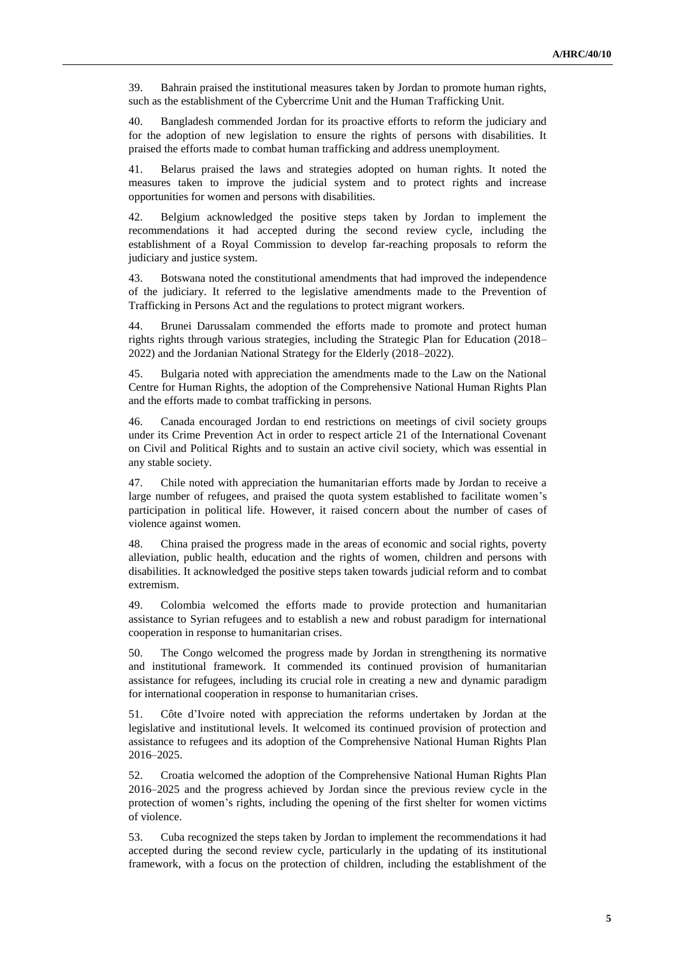39. Bahrain praised the institutional measures taken by Jordan to promote human rights, such as the establishment of the Cybercrime Unit and the Human Trafficking Unit.

40. Bangladesh commended Jordan for its proactive efforts to reform the judiciary and for the adoption of new legislation to ensure the rights of persons with disabilities. It praised the efforts made to combat human trafficking and address unemployment.

41. Belarus praised the laws and strategies adopted on human rights. It noted the measures taken to improve the judicial system and to protect rights and increase opportunities for women and persons with disabilities.

42. Belgium acknowledged the positive steps taken by Jordan to implement the recommendations it had accepted during the second review cycle, including the establishment of a Royal Commission to develop far-reaching proposals to reform the judiciary and justice system.

43. Botswana noted the constitutional amendments that had improved the independence of the judiciary. It referred to the legislative amendments made to the Prevention of Trafficking in Persons Act and the regulations to protect migrant workers.

44. Brunei Darussalam commended the efforts made to promote and protect human rights rights through various strategies, including the Strategic Plan for Education (2018– 2022) and the Jordanian National Strategy for the Elderly (2018–2022).

45. Bulgaria noted with appreciation the amendments made to the Law on the National Centre for Human Rights, the adoption of the Comprehensive National Human Rights Plan and the efforts made to combat trafficking in persons.

46. Canada encouraged Jordan to end restrictions on meetings of civil society groups under its Crime Prevention Act in order to respect article 21 of the International Covenant on Civil and Political Rights and to sustain an active civil society, which was essential in any stable society.

47. Chile noted with appreciation the humanitarian efforts made by Jordan to receive a large number of refugees, and praised the quota system established to facilitate women's participation in political life. However, it raised concern about the number of cases of violence against women.

48. China praised the progress made in the areas of economic and social rights, poverty alleviation, public health, education and the rights of women, children and persons with disabilities. It acknowledged the positive steps taken towards judicial reform and to combat extremism.

49. Colombia welcomed the efforts made to provide protection and humanitarian assistance to Syrian refugees and to establish a new and robust paradigm for international cooperation in response to humanitarian crises.

50. The Congo welcomed the progress made by Jordan in strengthening its normative and institutional framework. It commended its continued provision of humanitarian assistance for refugees, including its crucial role in creating a new and dynamic paradigm for international cooperation in response to humanitarian crises.

51. Côte d'Ivoire noted with appreciation the reforms undertaken by Jordan at the legislative and institutional levels. It welcomed its continued provision of protection and assistance to refugees and its adoption of the Comprehensive National Human Rights Plan 2016–2025.

52. Croatia welcomed the adoption of the Comprehensive National Human Rights Plan 2016–2025 and the progress achieved by Jordan since the previous review cycle in the protection of women's rights, including the opening of the first shelter for women victims of violence.

53. Cuba recognized the steps taken by Jordan to implement the recommendations it had accepted during the second review cycle, particularly in the updating of its institutional framework, with a focus on the protection of children, including the establishment of the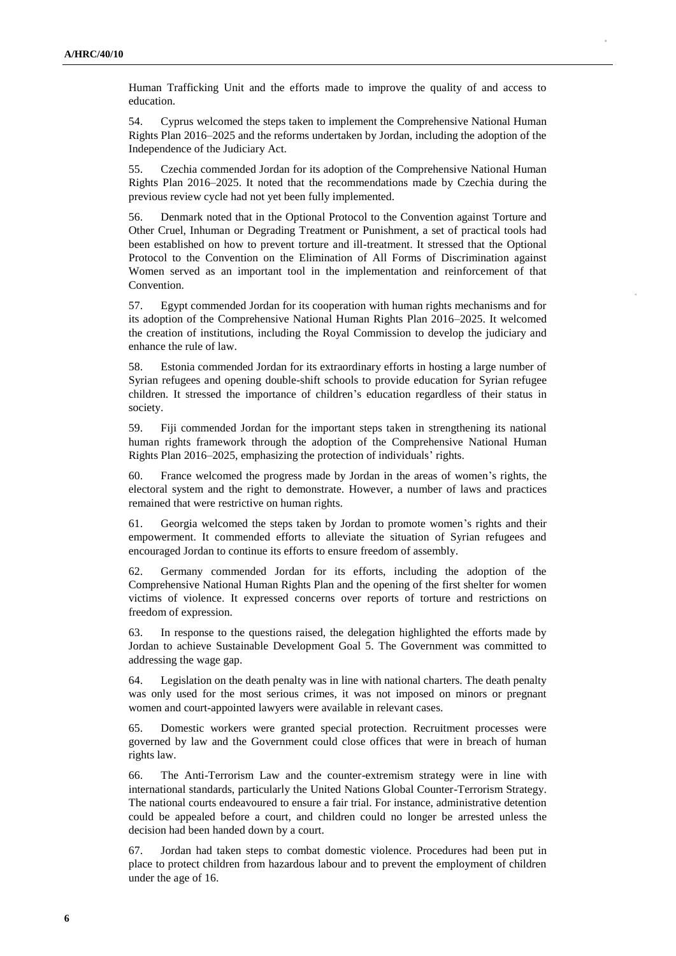Human Trafficking Unit and the efforts made to improve the quality of and access to education.

54. Cyprus welcomed the steps taken to implement the Comprehensive National Human Rights Plan 2016–2025 and the reforms undertaken by Jordan, including the adoption of the Independence of the Judiciary Act.

55. Czechia commended Jordan for its adoption of the Comprehensive National Human Rights Plan 2016–2025. It noted that the recommendations made by Czechia during the previous review cycle had not yet been fully implemented.

56. Denmark noted that in the Optional Protocol to the Convention against Torture and Other Cruel, Inhuman or Degrading Treatment or Punishment, a set of practical tools had been established on how to prevent torture and ill-treatment. It stressed that the Optional Protocol to the Convention on the Elimination of All Forms of Discrimination against Women served as an important tool in the implementation and reinforcement of that Convention.

57. Egypt commended Jordan for its cooperation with human rights mechanisms and for its adoption of the Comprehensive National Human Rights Plan 2016–2025. It welcomed the creation of institutions, including the Royal Commission to develop the judiciary and enhance the rule of law.

58. Estonia commended Jordan for its extraordinary efforts in hosting a large number of Syrian refugees and opening double-shift schools to provide education for Syrian refugee children. It stressed the importance of children's education regardless of their status in society.

59. Fiji commended Jordan for the important steps taken in strengthening its national human rights framework through the adoption of the Comprehensive National Human Rights Plan 2016–2025, emphasizing the protection of individuals' rights.

60. France welcomed the progress made by Jordan in the areas of women's rights, the electoral system and the right to demonstrate. However, a number of laws and practices remained that were restrictive on human rights.

61. Georgia welcomed the steps taken by Jordan to promote women's rights and their empowerment. It commended efforts to alleviate the situation of Syrian refugees and encouraged Jordan to continue its efforts to ensure freedom of assembly.

62. Germany commended Jordan for its efforts, including the adoption of the Comprehensive National Human Rights Plan and the opening of the first shelter for women victims of violence. It expressed concerns over reports of torture and restrictions on freedom of expression.

63. In response to the questions raised, the delegation highlighted the efforts made by Jordan to achieve Sustainable Development Goal 5. The Government was committed to addressing the wage gap.

64. Legislation on the death penalty was in line with national charters. The death penalty was only used for the most serious crimes, it was not imposed on minors or pregnant women and court-appointed lawyers were available in relevant cases.

65. Domestic workers were granted special protection. Recruitment processes were governed by law and the Government could close offices that were in breach of human rights law.

66. The Anti-Terrorism Law and the counter-extremism strategy were in line with international standards, particularly the United Nations Global Counter-Terrorism Strategy. The national courts endeavoured to ensure a fair trial. For instance, administrative detention could be appealed before a court, and children could no longer be arrested unless the decision had been handed down by a court.

67. Jordan had taken steps to combat domestic violence. Procedures had been put in place to protect children from hazardous labour and to prevent the employment of children under the age of 16.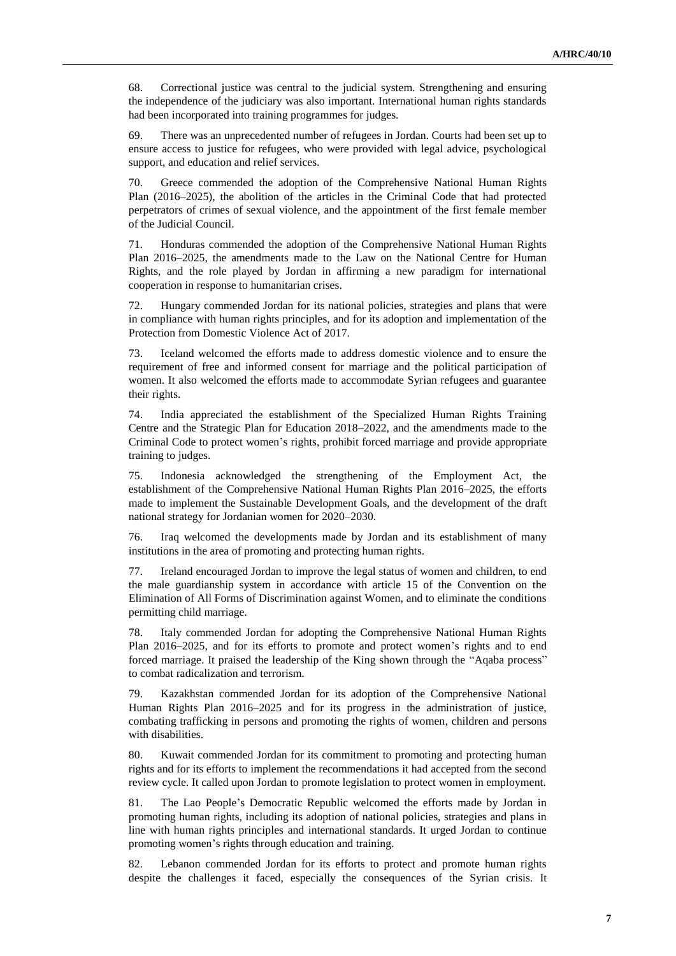68. Correctional justice was central to the judicial system. Strengthening and ensuring the independence of the judiciary was also important. International human rights standards had been incorporated into training programmes for judges.

69. There was an unprecedented number of refugees in Jordan. Courts had been set up to ensure access to justice for refugees, who were provided with legal advice, psychological support, and education and relief services.

70. Greece commended the adoption of the Comprehensive National Human Rights Plan (2016–2025), the abolition of the articles in the Criminal Code that had protected perpetrators of crimes of sexual violence, and the appointment of the first female member of the Judicial Council.

71. Honduras commended the adoption of the Comprehensive National Human Rights Plan 2016–2025, the amendments made to the Law on the National Centre for Human Rights, and the role played by Jordan in affirming a new paradigm for international cooperation in response to humanitarian crises.

72. Hungary commended Jordan for its national policies, strategies and plans that were in compliance with human rights principles, and for its adoption and implementation of the Protection from Domestic Violence Act of 2017.

73. Iceland welcomed the efforts made to address domestic violence and to ensure the requirement of free and informed consent for marriage and the political participation of women. It also welcomed the efforts made to accommodate Syrian refugees and guarantee their rights.

74. India appreciated the establishment of the Specialized Human Rights Training Centre and the Strategic Plan for Education 2018–2022, and the amendments made to the Criminal Code to protect women's rights, prohibit forced marriage and provide appropriate training to judges.

75. Indonesia acknowledged the strengthening of the Employment Act, the establishment of the Comprehensive National Human Rights Plan 2016–2025, the efforts made to implement the Sustainable Development Goals, and the development of the draft national strategy for Jordanian women for 2020–2030.

76. Iraq welcomed the developments made by Jordan and its establishment of many institutions in the area of promoting and protecting human rights.

77. Ireland encouraged Jordan to improve the legal status of women and children, to end the male guardianship system in accordance with article 15 of the Convention on the Elimination of All Forms of Discrimination against Women, and to eliminate the conditions permitting child marriage.

78. Italy commended Jordan for adopting the Comprehensive National Human Rights Plan 2016–2025, and for its efforts to promote and protect women's rights and to end forced marriage. It praised the leadership of the King shown through the "Aqaba process" to combat radicalization and terrorism.

79. Kazakhstan commended Jordan for its adoption of the Comprehensive National Human Rights Plan 2016–2025 and for its progress in the administration of justice, combating trafficking in persons and promoting the rights of women, children and persons with disabilities.

80. Kuwait commended Jordan for its commitment to promoting and protecting human rights and for its efforts to implement the recommendations it had accepted from the second review cycle. It called upon Jordan to promote legislation to protect women in employment.

81. The Lao People's Democratic Republic welcomed the efforts made by Jordan in promoting human rights, including its adoption of national policies, strategies and plans in line with human rights principles and international standards. It urged Jordan to continue promoting women's rights through education and training.

82. Lebanon commended Jordan for its efforts to protect and promote human rights despite the challenges it faced, especially the consequences of the Syrian crisis. It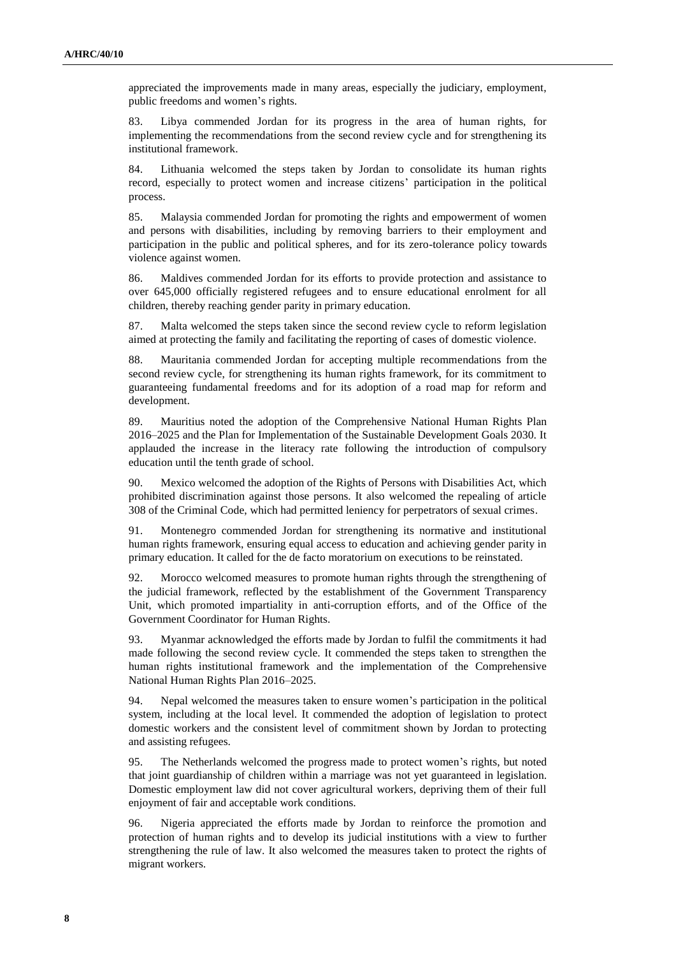appreciated the improvements made in many areas, especially the judiciary, employment, public freedoms and women's rights.

83. Libya commended Jordan for its progress in the area of human rights, for implementing the recommendations from the second review cycle and for strengthening its institutional framework.

84. Lithuania welcomed the steps taken by Jordan to consolidate its human rights record, especially to protect women and increase citizens' participation in the political process.

85. Malaysia commended Jordan for promoting the rights and empowerment of women and persons with disabilities, including by removing barriers to their employment and participation in the public and political spheres, and for its zero-tolerance policy towards violence against women.

86. Maldives commended Jordan for its efforts to provide protection and assistance to over 645,000 officially registered refugees and to ensure educational enrolment for all children, thereby reaching gender parity in primary education.

87. Malta welcomed the steps taken since the second review cycle to reform legislation aimed at protecting the family and facilitating the reporting of cases of domestic violence.

88. Mauritania commended Jordan for accepting multiple recommendations from the second review cycle, for strengthening its human rights framework, for its commitment to guaranteeing fundamental freedoms and for its adoption of a road map for reform and development.

89. Mauritius noted the adoption of the Comprehensive National Human Rights Plan 2016–2025 and the Plan for Implementation of the Sustainable Development Goals 2030. It applauded the increase in the literacy rate following the introduction of compulsory education until the tenth grade of school.

90. Mexico welcomed the adoption of the Rights of Persons with Disabilities Act, which prohibited discrimination against those persons. It also welcomed the repealing of article 308 of the Criminal Code, which had permitted leniency for perpetrators of sexual crimes.

91. Montenegro commended Jordan for strengthening its normative and institutional human rights framework, ensuring equal access to education and achieving gender parity in primary education. It called for the de facto moratorium on executions to be reinstated.

92. Morocco welcomed measures to promote human rights through the strengthening of the judicial framework, reflected by the establishment of the Government Transparency Unit, which promoted impartiality in anti-corruption efforts, and of the Office of the Government Coordinator for Human Rights.

93. Myanmar acknowledged the efforts made by Jordan to fulfil the commitments it had made following the second review cycle. It commended the steps taken to strengthen the human rights institutional framework and the implementation of the Comprehensive National Human Rights Plan 2016–2025.

94. Nepal welcomed the measures taken to ensure women's participation in the political system, including at the local level. It commended the adoption of legislation to protect domestic workers and the consistent level of commitment shown by Jordan to protecting and assisting refugees.

95. The Netherlands welcomed the progress made to protect women's rights, but noted that joint guardianship of children within a marriage was not yet guaranteed in legislation. Domestic employment law did not cover agricultural workers, depriving them of their full enjoyment of fair and acceptable work conditions.

96. Nigeria appreciated the efforts made by Jordan to reinforce the promotion and protection of human rights and to develop its judicial institutions with a view to further strengthening the rule of law. It also welcomed the measures taken to protect the rights of migrant workers.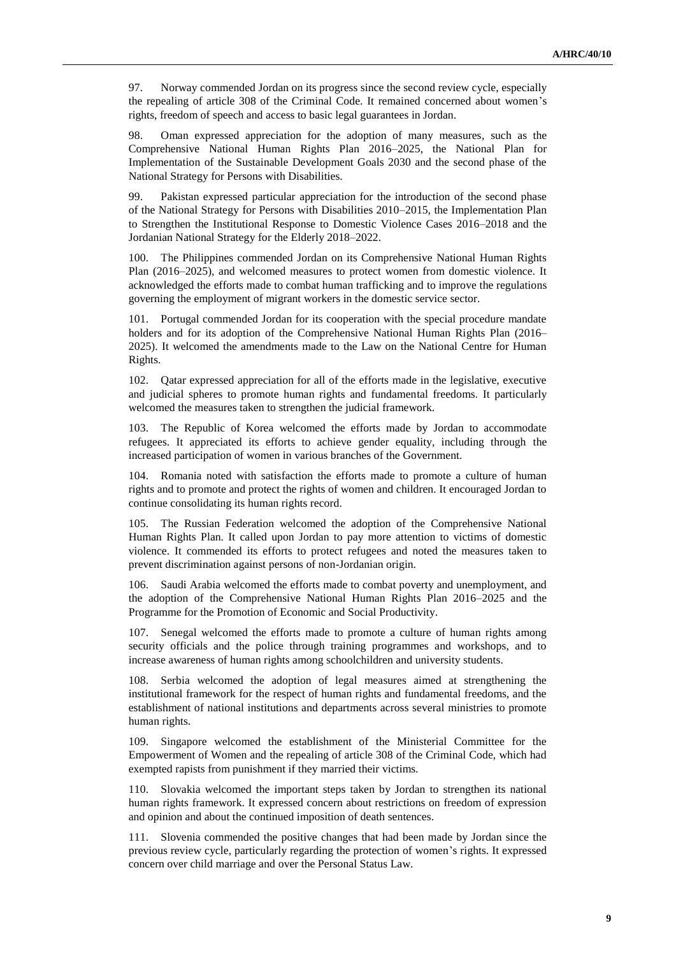97. Norway commended Jordan on its progress since the second review cycle, especially the repealing of article 308 of the Criminal Code. It remained concerned about women's rights, freedom of speech and access to basic legal guarantees in Jordan.

98. Oman expressed appreciation for the adoption of many measures, such as the Comprehensive National Human Rights Plan 2016–2025, the National Plan for Implementation of the Sustainable Development Goals 2030 and the second phase of the National Strategy for Persons with Disabilities.

99. Pakistan expressed particular appreciation for the introduction of the second phase of the National Strategy for Persons with Disabilities 2010–2015, the Implementation Plan to Strengthen the Institutional Response to Domestic Violence Cases 2016–2018 and the Jordanian National Strategy for the Elderly 2018–2022.

100. The Philippines commended Jordan on its Comprehensive National Human Rights Plan (2016–2025), and welcomed measures to protect women from domestic violence. It acknowledged the efforts made to combat human trafficking and to improve the regulations governing the employment of migrant workers in the domestic service sector.

101. Portugal commended Jordan for its cooperation with the special procedure mandate holders and for its adoption of the Comprehensive National Human Rights Plan (2016– 2025). It welcomed the amendments made to the Law on the National Centre for Human Rights.

102. Qatar expressed appreciation for all of the efforts made in the legislative, executive and judicial spheres to promote human rights and fundamental freedoms. It particularly welcomed the measures taken to strengthen the judicial framework.

103. The Republic of Korea welcomed the efforts made by Jordan to accommodate refugees. It appreciated its efforts to achieve gender equality, including through the increased participation of women in various branches of the Government.

104. Romania noted with satisfaction the efforts made to promote a culture of human rights and to promote and protect the rights of women and children. It encouraged Jordan to continue consolidating its human rights record.

105. The Russian Federation welcomed the adoption of the Comprehensive National Human Rights Plan. It called upon Jordan to pay more attention to victims of domestic violence. It commended its efforts to protect refugees and noted the measures taken to prevent discrimination against persons of non-Jordanian origin.

106. Saudi Arabia welcomed the efforts made to combat poverty and unemployment, and the adoption of the Comprehensive National Human Rights Plan 2016–2025 and the Programme for the Promotion of Economic and Social Productivity.

107. Senegal welcomed the efforts made to promote a culture of human rights among security officials and the police through training programmes and workshops, and to increase awareness of human rights among schoolchildren and university students.

108. Serbia welcomed the adoption of legal measures aimed at strengthening the institutional framework for the respect of human rights and fundamental freedoms, and the establishment of national institutions and departments across several ministries to promote human rights.

109. Singapore welcomed the establishment of the Ministerial Committee for the Empowerment of Women and the repealing of article 308 of the Criminal Code, which had exempted rapists from punishment if they married their victims.

110. Slovakia welcomed the important steps taken by Jordan to strengthen its national human rights framework. It expressed concern about restrictions on freedom of expression and opinion and about the continued imposition of death sentences.

111. Slovenia commended the positive changes that had been made by Jordan since the previous review cycle, particularly regarding the protection of women's rights. It expressed concern over child marriage and over the Personal Status Law.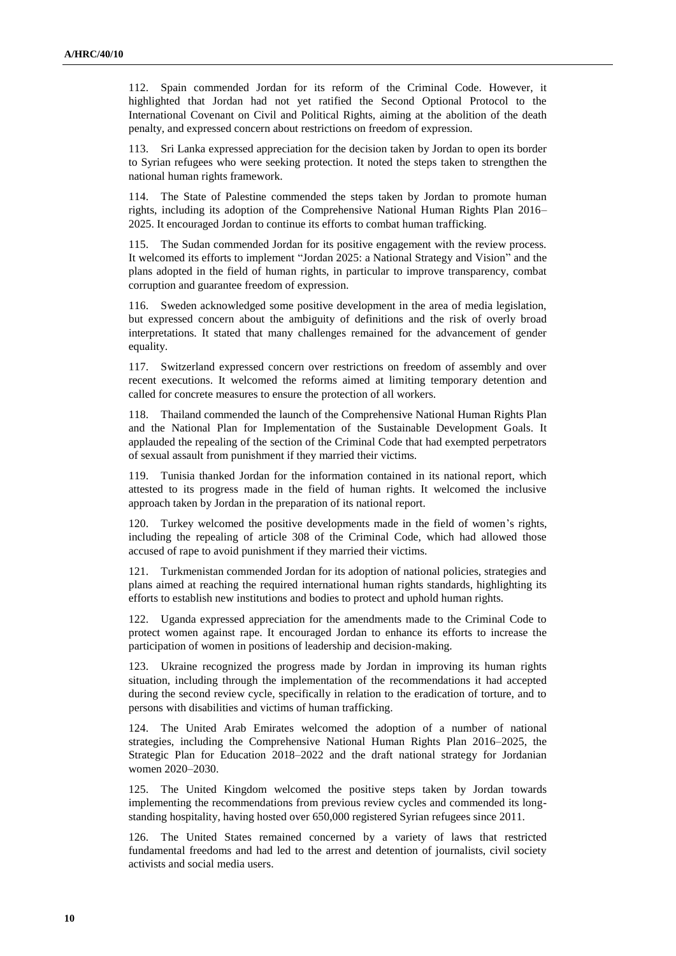112. Spain commended Jordan for its reform of the Criminal Code. However, it highlighted that Jordan had not yet ratified the Second Optional Protocol to the International Covenant on Civil and Political Rights, aiming at the abolition of the death penalty, and expressed concern about restrictions on freedom of expression.

113. Sri Lanka expressed appreciation for the decision taken by Jordan to open its border to Syrian refugees who were seeking protection. It noted the steps taken to strengthen the national human rights framework.

114. The State of Palestine commended the steps taken by Jordan to promote human rights, including its adoption of the Comprehensive National Human Rights Plan 2016– 2025. It encouraged Jordan to continue its efforts to combat human trafficking.

115. The Sudan commended Jordan for its positive engagement with the review process. It welcomed its efforts to implement "Jordan 2025: a National Strategy and Vision" and the plans adopted in the field of human rights, in particular to improve transparency, combat corruption and guarantee freedom of expression.

116. Sweden acknowledged some positive development in the area of media legislation, but expressed concern about the ambiguity of definitions and the risk of overly broad interpretations. It stated that many challenges remained for the advancement of gender equality.

117. Switzerland expressed concern over restrictions on freedom of assembly and over recent executions. It welcomed the reforms aimed at limiting temporary detention and called for concrete measures to ensure the protection of all workers.

118. Thailand commended the launch of the Comprehensive National Human Rights Plan and the National Plan for Implementation of the Sustainable Development Goals. It applauded the repealing of the section of the Criminal Code that had exempted perpetrators of sexual assault from punishment if they married their victims.

119. Tunisia thanked Jordan for the information contained in its national report, which attested to its progress made in the field of human rights. It welcomed the inclusive approach taken by Jordan in the preparation of its national report.

120. Turkey welcomed the positive developments made in the field of women's rights, including the repealing of article 308 of the Criminal Code, which had allowed those accused of rape to avoid punishment if they married their victims.

121. Turkmenistan commended Jordan for its adoption of national policies, strategies and plans aimed at reaching the required international human rights standards, highlighting its efforts to establish new institutions and bodies to protect and uphold human rights.

122. Uganda expressed appreciation for the amendments made to the Criminal Code to protect women against rape. It encouraged Jordan to enhance its efforts to increase the participation of women in positions of leadership and decision-making.

123. Ukraine recognized the progress made by Jordan in improving its human rights situation, including through the implementation of the recommendations it had accepted during the second review cycle, specifically in relation to the eradication of torture, and to persons with disabilities and victims of human trafficking.

124. The United Arab Emirates welcomed the adoption of a number of national strategies, including the Comprehensive National Human Rights Plan 2016–2025, the Strategic Plan for Education 2018–2022 and the draft national strategy for Jordanian women 2020–2030.

125. The United Kingdom welcomed the positive steps taken by Jordan towards implementing the recommendations from previous review cycles and commended its longstanding hospitality, having hosted over 650,000 registered Syrian refugees since 2011.

126. The United States remained concerned by a variety of laws that restricted fundamental freedoms and had led to the arrest and detention of journalists, civil society activists and social media users.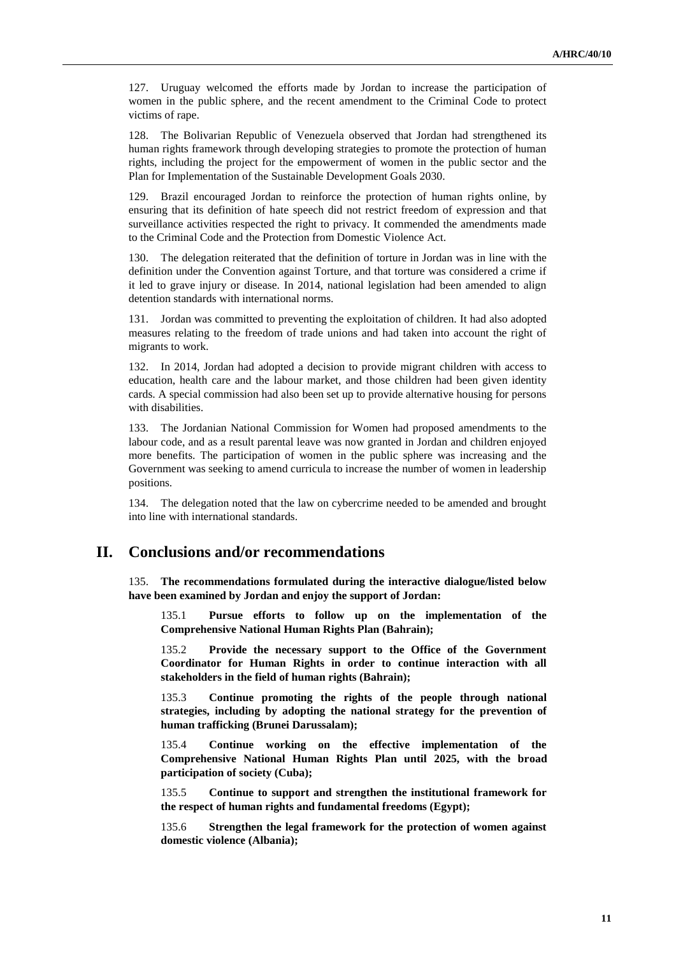127. Uruguay welcomed the efforts made by Jordan to increase the participation of women in the public sphere, and the recent amendment to the Criminal Code to protect victims of rape.

128. The Bolivarian Republic of Venezuela observed that Jordan had strengthened its human rights framework through developing strategies to promote the protection of human rights, including the project for the empowerment of women in the public sector and the Plan for Implementation of the Sustainable Development Goals 2030.

129. Brazil encouraged Jordan to reinforce the protection of human rights online, by ensuring that its definition of hate speech did not restrict freedom of expression and that surveillance activities respected the right to privacy. It commended the amendments made to the Criminal Code and the Protection from Domestic Violence Act.

130. The delegation reiterated that the definition of torture in Jordan was in line with the definition under the Convention against Torture, and that torture was considered a crime if it led to grave injury or disease. In 2014, national legislation had been amended to align detention standards with international norms.

131. Jordan was committed to preventing the exploitation of children. It had also adopted measures relating to the freedom of trade unions and had taken into account the right of migrants to work.

132. In 2014, Jordan had adopted a decision to provide migrant children with access to education, health care and the labour market, and those children had been given identity cards. A special commission had also been set up to provide alternative housing for persons with disabilities.

133. The Jordanian National Commission for Women had proposed amendments to the labour code, and as a result parental leave was now granted in Jordan and children enjoyed more benefits. The participation of women in the public sphere was increasing and the Government was seeking to amend curricula to increase the number of women in leadership positions.

134. The delegation noted that the law on cybercrime needed to be amended and brought into line with international standards.

## **II. Conclusions and/or recommendations**

135. **The recommendations formulated during the interactive dialogue/listed below have been examined by Jordan and enjoy the support of Jordan:**

135.1 **Pursue efforts to follow up on the implementation of the Comprehensive National Human Rights Plan (Bahrain);**

135.2 **Provide the necessary support to the Office of the Government Coordinator for Human Rights in order to continue interaction with all stakeholders in the field of human rights (Bahrain);**

135.3 **Continue promoting the rights of the people through national strategies, including by adopting the national strategy for the prevention of human trafficking (Brunei Darussalam);**

135.4 **Continue working on the effective implementation of the Comprehensive National Human Rights Plan until 2025, with the broad participation of society (Cuba);**

135.5 **Continue to support and strengthen the institutional framework for the respect of human rights and fundamental freedoms (Egypt);**

135.6 **Strengthen the legal framework for the protection of women against domestic violence (Albania);**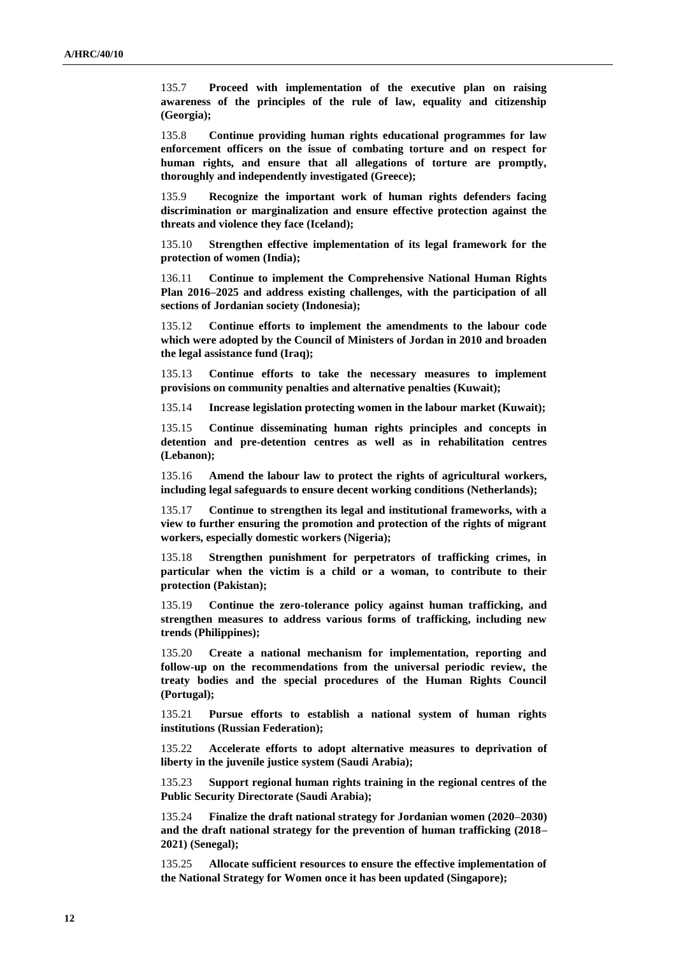135.7 **Proceed with implementation of the executive plan on raising awareness of the principles of the rule of law, equality and citizenship (Georgia);**

135.8 **Continue providing human rights educational programmes for law enforcement officers on the issue of combating torture and on respect for human rights, and ensure that all allegations of torture are promptly, thoroughly and independently investigated (Greece);**

135.9 **Recognize the important work of human rights defenders facing discrimination or marginalization and ensure effective protection against the threats and violence they face (Iceland);**

135.10 **Strengthen effective implementation of its legal framework for the protection of women (India);**

136.11 **Continue to implement the Comprehensive National Human Rights Plan 2016–2025 and address existing challenges, with the participation of all sections of Jordanian society (Indonesia);**

135.12 **Continue efforts to implement the amendments to the labour code which were adopted by the Council of Ministers of Jordan in 2010 and broaden the legal assistance fund (Iraq);**

135.13 **Continue efforts to take the necessary measures to implement provisions on community penalties and alternative penalties (Kuwait);**

135.14 **Increase legislation protecting women in the labour market (Kuwait);**

135.15 **Continue disseminating human rights principles and concepts in detention and pre-detention centres as well as in rehabilitation centres (Lebanon);**

135.16 **Amend the labour law to protect the rights of agricultural workers, including legal safeguards to ensure decent working conditions (Netherlands);**

135.17 **Continue to strengthen its legal and institutional frameworks, with a view to further ensuring the promotion and protection of the rights of migrant workers, especially domestic workers (Nigeria);**

135.18 **Strengthen punishment for perpetrators of trafficking crimes, in particular when the victim is a child or a woman, to contribute to their protection (Pakistan);**

135.19 **Continue the zero-tolerance policy against human trafficking, and strengthen measures to address various forms of trafficking, including new trends (Philippines);**

135.20 **Create a national mechanism for implementation, reporting and follow-up on the recommendations from the universal periodic review, the treaty bodies and the special procedures of the Human Rights Council (Portugal);**

135.21 **Pursue efforts to establish a national system of human rights institutions (Russian Federation);**

135.22 **Accelerate efforts to adopt alternative measures to deprivation of liberty in the juvenile justice system (Saudi Arabia);**

135.23 **Support regional human rights training in the regional centres of the Public Security Directorate (Saudi Arabia);**

135.24 **Finalize the draft national strategy for Jordanian women (2020–2030) and the draft national strategy for the prevention of human trafficking (2018– 2021) (Senegal);**

135.25 **Allocate sufficient resources to ensure the effective implementation of the National Strategy for Women once it has been updated (Singapore);**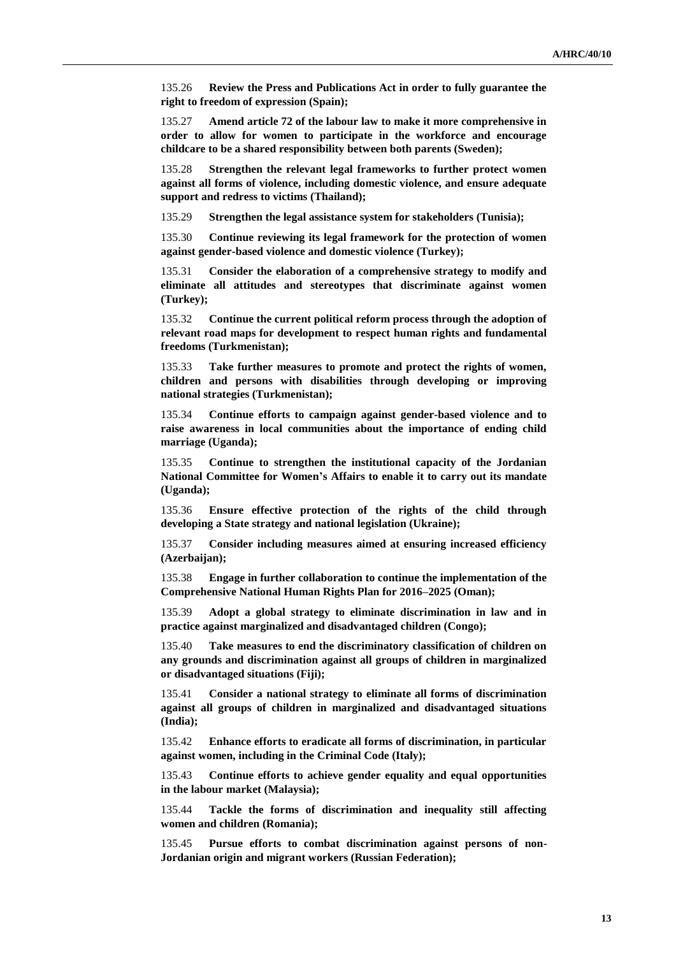135.26 **Review the Press and Publications Act in order to fully guarantee the right to freedom of expression (Spain);**

135.27 **Amend article 72 of the labour law to make it more comprehensive in order to allow for women to participate in the workforce and encourage childcare to be a shared responsibility between both parents (Sweden);**

135.28 **Strengthen the relevant legal frameworks to further protect women against all forms of violence, including domestic violence, and ensure adequate support and redress to victims (Thailand);**

135.29 **Strengthen the legal assistance system for stakeholders (Tunisia);**

135.30 **Continue reviewing its legal framework for the protection of women against gender-based violence and domestic violence (Turkey);**

135.31 **Consider the elaboration of a comprehensive strategy to modify and eliminate all attitudes and stereotypes that discriminate against women (Turkey);**

135.32 **Continue the current political reform process through the adoption of relevant road maps for development to respect human rights and fundamental freedoms (Turkmenistan);**

135.33 **Take further measures to promote and protect the rights of women, children and persons with disabilities through developing or improving national strategies (Turkmenistan);**

135.34 **Continue efforts to campaign against gender-based violence and to raise awareness in local communities about the importance of ending child marriage (Uganda);**

135.35 **Continue to strengthen the institutional capacity of the Jordanian National Committee for Women's Affairs to enable it to carry out its mandate (Uganda);**

135.36 **Ensure effective protection of the rights of the child through developing a State strategy and national legislation (Ukraine);**

135.37 **Consider including measures aimed at ensuring increased efficiency (Azerbaijan);**

135.38 **Engage in further collaboration to continue the implementation of the Comprehensive National Human Rights Plan for 2016–2025 (Oman);**

135.39 **Adopt a global strategy to eliminate discrimination in law and in practice against marginalized and disadvantaged children (Congo);**

135.40 **Take measures to end the discriminatory classification of children on any grounds and discrimination against all groups of children in marginalized or disadvantaged situations (Fiji);**

135.41 **Consider a national strategy to eliminate all forms of discrimination against all groups of children in marginalized and disadvantaged situations (India);**

135.42 **Enhance efforts to eradicate all forms of discrimination, in particular against women, including in the Criminal Code (Italy);**

135.43 **Continue efforts to achieve gender equality and equal opportunities in the labour market (Malaysia);**

135.44 **Tackle the forms of discrimination and inequality still affecting women and children (Romania);**

135.45 **Pursue efforts to combat discrimination against persons of non-Jordanian origin and migrant workers (Russian Federation);**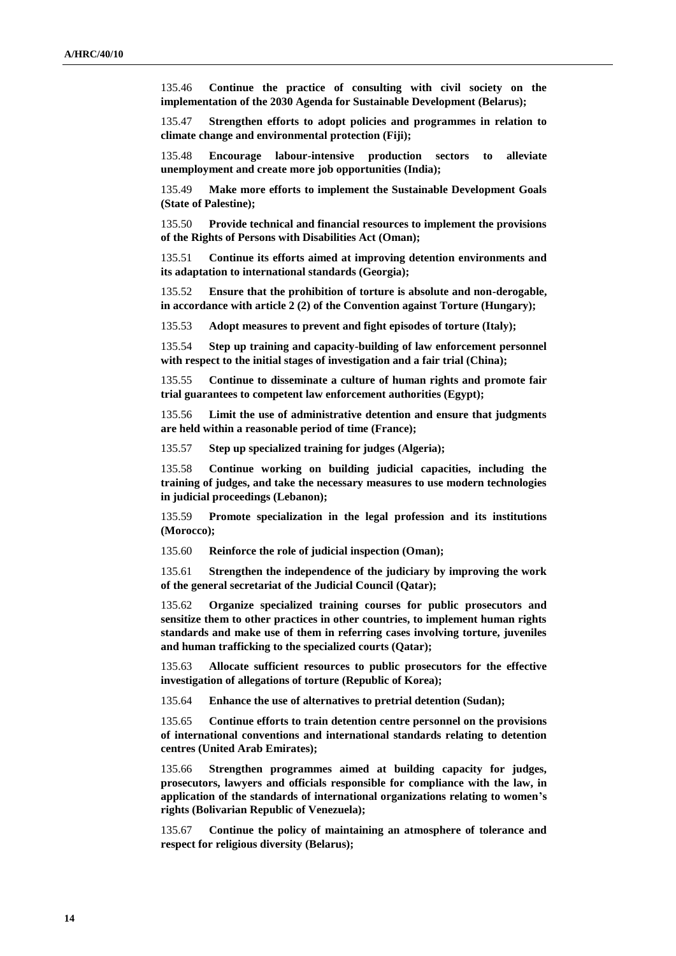135.46 **Continue the practice of consulting with civil society on the implementation of the 2030 Agenda for Sustainable Development (Belarus);**

135.47 **Strengthen efforts to adopt policies and programmes in relation to climate change and environmental protection (Fiji);**

135.48 **Encourage labour-intensive production sectors to alleviate unemployment and create more job opportunities (India);**

135.49 **Make more efforts to implement the Sustainable Development Goals (State of Palestine);**

135.50 **Provide technical and financial resources to implement the provisions of the Rights of Persons with Disabilities Act (Oman);**

135.51 **Continue its efforts aimed at improving detention environments and its adaptation to international standards (Georgia);**

135.52 **Ensure that the prohibition of torture is absolute and non-derogable, in accordance with article 2 (2) of the Convention against Torture (Hungary);**

135.53 **Adopt measures to prevent and fight episodes of torture (Italy);**

135.54 **Step up training and capacity-building of law enforcement personnel with respect to the initial stages of investigation and a fair trial (China);**

135.55 **Continue to disseminate a culture of human rights and promote fair trial guarantees to competent law enforcement authorities (Egypt);**

135.56 **Limit the use of administrative detention and ensure that judgments are held within a reasonable period of time (France);**

135.57 **Step up specialized training for judges (Algeria);**

135.58 **Continue working on building judicial capacities, including the training of judges, and take the necessary measures to use modern technologies in judicial proceedings (Lebanon);**

135.59 **Promote specialization in the legal profession and its institutions (Morocco);**

135.60 **Reinforce the role of judicial inspection (Oman);**

135.61 **Strengthen the independence of the judiciary by improving the work of the general secretariat of the Judicial Council (Qatar);**

135.62 **Organize specialized training courses for public prosecutors and sensitize them to other practices in other countries, to implement human rights standards and make use of them in referring cases involving torture, juveniles and human trafficking to the specialized courts (Qatar);**

135.63 **Allocate sufficient resources to public prosecutors for the effective investigation of allegations of torture (Republic of Korea);**

135.64 **Enhance the use of alternatives to pretrial detention (Sudan);**

135.65 **Continue efforts to train detention centre personnel on the provisions of international conventions and international standards relating to detention centres (United Arab Emirates);**

135.66 **Strengthen programmes aimed at building capacity for judges, prosecutors, lawyers and officials responsible for compliance with the law, in application of the standards of international organizations relating to women's rights (Bolivarian Republic of Venezuela);**

135.67 **Continue the policy of maintaining an atmosphere of tolerance and respect for religious diversity (Belarus);**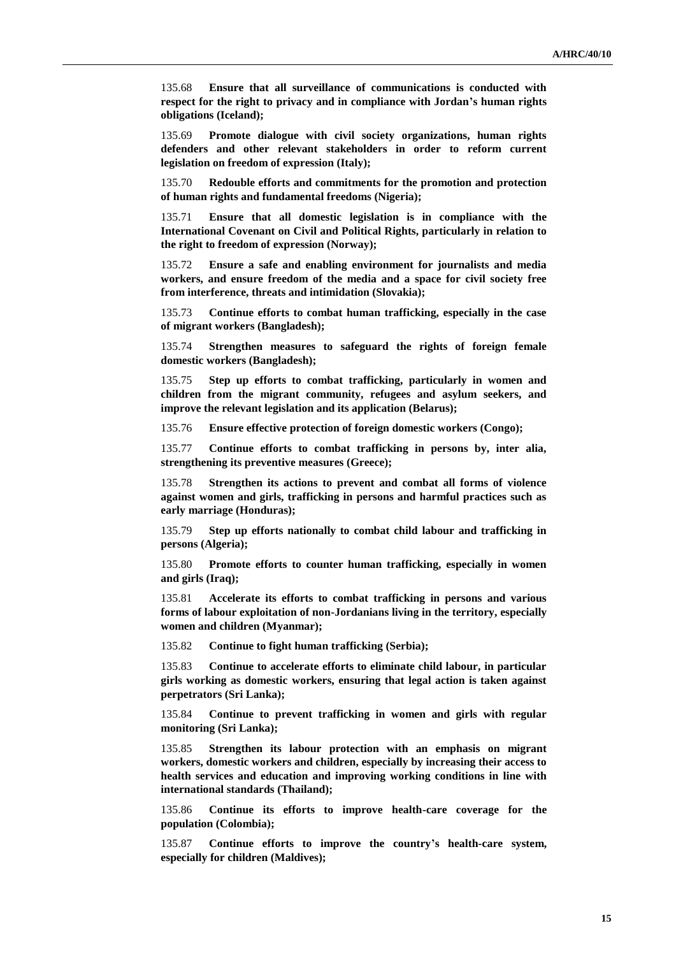135.68 **Ensure that all surveillance of communications is conducted with respect for the right to privacy and in compliance with Jordan's human rights obligations (Iceland);**

135.69 **Promote dialogue with civil society organizations, human rights defenders and other relevant stakeholders in order to reform current legislation on freedom of expression (Italy);**

135.70 **Redouble efforts and commitments for the promotion and protection of human rights and fundamental freedoms (Nigeria);**

135.71 **Ensure that all domestic legislation is in compliance with the International Covenant on Civil and Political Rights, particularly in relation to the right to freedom of expression (Norway);**

135.72 **Ensure a safe and enabling environment for journalists and media workers, and ensure freedom of the media and a space for civil society free from interference, threats and intimidation (Slovakia);**

135.73 **Continue efforts to combat human trafficking, especially in the case of migrant workers (Bangladesh);**

135.74 **Strengthen measures to safeguard the rights of foreign female domestic workers (Bangladesh);**

135.75 **Step up efforts to combat trafficking, particularly in women and children from the migrant community, refugees and asylum seekers, and improve the relevant legislation and its application (Belarus);**

135.76 **Ensure effective protection of foreign domestic workers (Congo);**

135.77 **Continue efforts to combat trafficking in persons by, inter alia, strengthening its preventive measures (Greece);**

135.78 **Strengthen its actions to prevent and combat all forms of violence against women and girls, trafficking in persons and harmful practices such as early marriage (Honduras);**

135.79 **Step up efforts nationally to combat child labour and trafficking in persons (Algeria);**

135.80 **Promote efforts to counter human trafficking, especially in women and girls (Iraq);**

135.81 **Accelerate its efforts to combat trafficking in persons and various forms of labour exploitation of non-Jordanians living in the territory, especially women and children (Myanmar);**

135.82 **Continue to fight human trafficking (Serbia);**

135.83 **Continue to accelerate efforts to eliminate child labour, in particular girls working as domestic workers, ensuring that legal action is taken against perpetrators (Sri Lanka);**

135.84 **Continue to prevent trafficking in women and girls with regular monitoring (Sri Lanka);**

135.85 **Strengthen its labour protection with an emphasis on migrant workers, domestic workers and children, especially by increasing their access to health services and education and improving working conditions in line with international standards (Thailand);**

135.86 **Continue its efforts to improve health-care coverage for the population (Colombia);**

135.87 **Continue efforts to improve the country's health-care system, especially for children (Maldives);**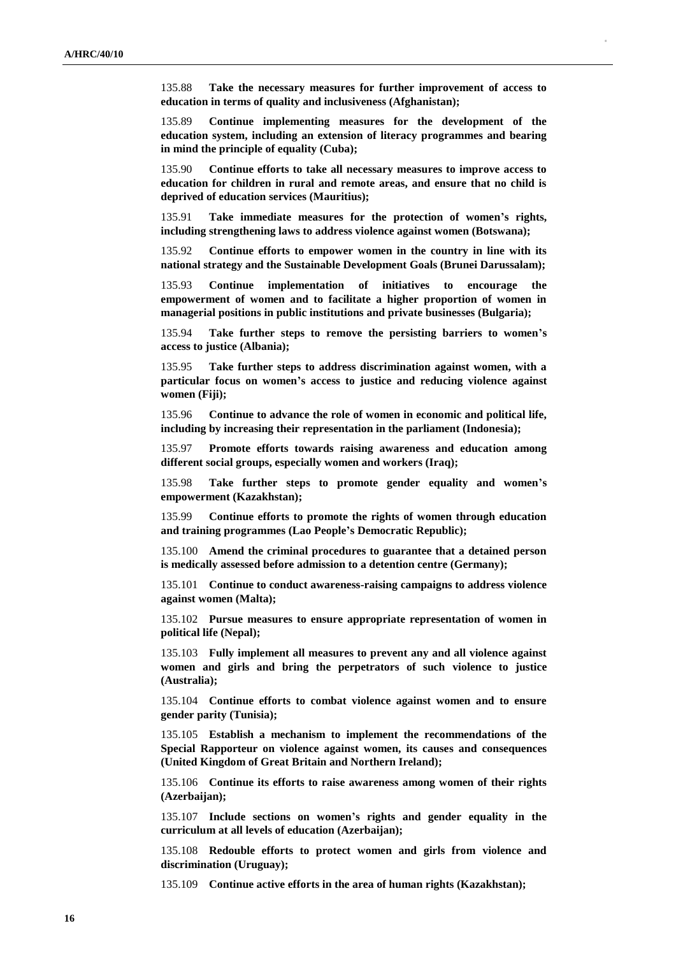135.88 **Take the necessary measures for further improvement of access to education in terms of quality and inclusiveness (Afghanistan);**

135.89 **Continue implementing measures for the development of the education system, including an extension of literacy programmes and bearing in mind the principle of equality (Cuba);**

135.90 **Continue efforts to take all necessary measures to improve access to education for children in rural and remote areas, and ensure that no child is deprived of education services (Mauritius);**

135.91 **Take immediate measures for the protection of women's rights, including strengthening laws to address violence against women (Botswana);**

135.92 **Continue efforts to empower women in the country in line with its national strategy and the Sustainable Development Goals (Brunei Darussalam);**

135.93 **Continue implementation of initiatives to encourage the empowerment of women and to facilitate a higher proportion of women in managerial positions in public institutions and private businesses (Bulgaria);**

135.94 **Take further steps to remove the persisting barriers to women's access to justice (Albania);**

135.95 **Take further steps to address discrimination against women, with a particular focus on women's access to justice and reducing violence against women (Fiji);**

135.96 **Continue to advance the role of women in economic and political life, including by increasing their representation in the parliament (Indonesia);**

135.97 **Promote efforts towards raising awareness and education among different social groups, especially women and workers (Iraq);**

135.98 **Take further steps to promote gender equality and women's empowerment (Kazakhstan);**

135.99 **Continue efforts to promote the rights of women through education and training programmes (Lao People's Democratic Republic);**

135.100 **Amend the criminal procedures to guarantee that a detained person is medically assessed before admission to a detention centre (Germany);**

135.101 **Continue to conduct awareness-raising campaigns to address violence against women (Malta);**

135.102 **Pursue measures to ensure appropriate representation of women in political life (Nepal);**

135.103 **Fully implement all measures to prevent any and all violence against women and girls and bring the perpetrators of such violence to justice (Australia);**

135.104 **Continue efforts to combat violence against women and to ensure gender parity (Tunisia);**

135.105 **Establish a mechanism to implement the recommendations of the Special Rapporteur on violence against women, its causes and consequences (United Kingdom of Great Britain and Northern Ireland);**

135.106 **Continue its efforts to raise awareness among women of their rights (Azerbaijan);**

135.107 **Include sections on women's rights and gender equality in the curriculum at all levels of education (Azerbaijan);**

135.108 **Redouble efforts to protect women and girls from violence and discrimination (Uruguay);**

135.109 **Continue active efforts in the area of human rights (Kazakhstan);**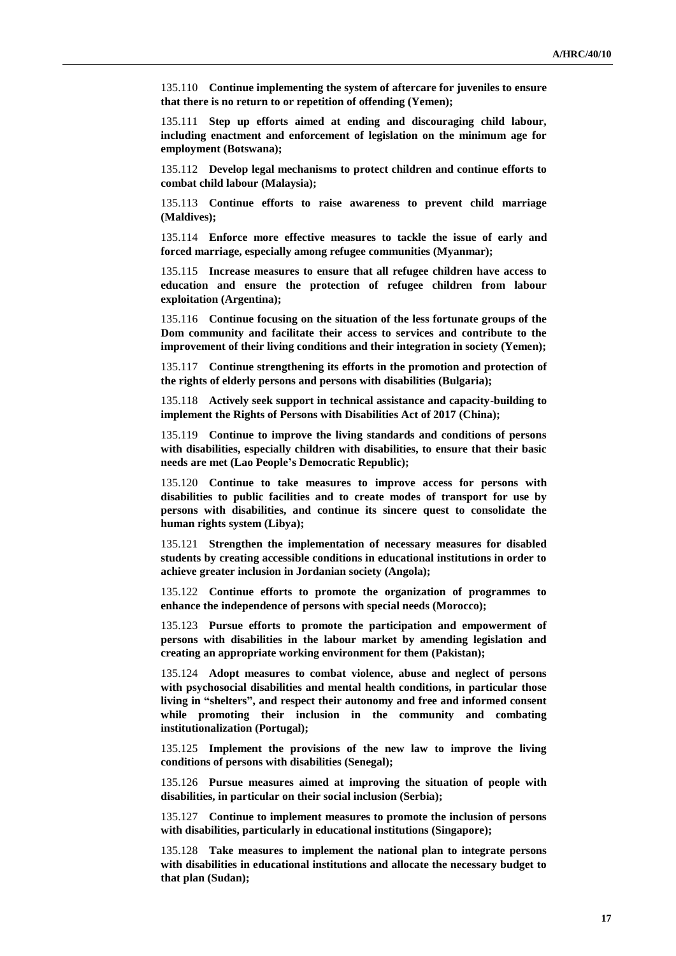135.110 **Continue implementing the system of aftercare for juveniles to ensure that there is no return to or repetition of offending (Yemen);**

135.111 **Step up efforts aimed at ending and discouraging child labour, including enactment and enforcement of legislation on the minimum age for employment (Botswana);**

135.112 **Develop legal mechanisms to protect children and continue efforts to combat child labour (Malaysia);**

135.113 **Continue efforts to raise awareness to prevent child marriage (Maldives);**

135.114 **Enforce more effective measures to tackle the issue of early and forced marriage, especially among refugee communities (Myanmar);**

135.115 **Increase measures to ensure that all refugee children have access to education and ensure the protection of refugee children from labour exploitation (Argentina);**

135.116 **Continue focusing on the situation of the less fortunate groups of the Dom community and facilitate their access to services and contribute to the improvement of their living conditions and their integration in society (Yemen);**

135.117 **Continue strengthening its efforts in the promotion and protection of the rights of elderly persons and persons with disabilities (Bulgaria);**

135.118 **Actively seek support in technical assistance and capacity-building to implement the Rights of Persons with Disabilities Act of 2017 (China);**

135.119 **Continue to improve the living standards and conditions of persons with disabilities, especially children with disabilities, to ensure that their basic needs are met (Lao People's Democratic Republic);**

135.120 **Continue to take measures to improve access for persons with disabilities to public facilities and to create modes of transport for use by persons with disabilities, and continue its sincere quest to consolidate the human rights system (Libya);**

135.121 **Strengthen the implementation of necessary measures for disabled students by creating accessible conditions in educational institutions in order to achieve greater inclusion in Jordanian society (Angola);**

135.122 **Continue efforts to promote the organization of programmes to enhance the independence of persons with special needs (Morocco);**

135.123 **Pursue efforts to promote the participation and empowerment of persons with disabilities in the labour market by amending legislation and creating an appropriate working environment for them (Pakistan);**

135.124 **Adopt measures to combat violence, abuse and neglect of persons with psychosocial disabilities and mental health conditions, in particular those living in "shelters", and respect their autonomy and free and informed consent while promoting their inclusion in the community and combating institutionalization (Portugal);**

135.125 **Implement the provisions of the new law to improve the living conditions of persons with disabilities (Senegal);**

135.126 **Pursue measures aimed at improving the situation of people with disabilities, in particular on their social inclusion (Serbia);**

135.127 **Continue to implement measures to promote the inclusion of persons with disabilities, particularly in educational institutions (Singapore);**

135.128 **Take measures to implement the national plan to integrate persons with disabilities in educational institutions and allocate the necessary budget to that plan (Sudan);**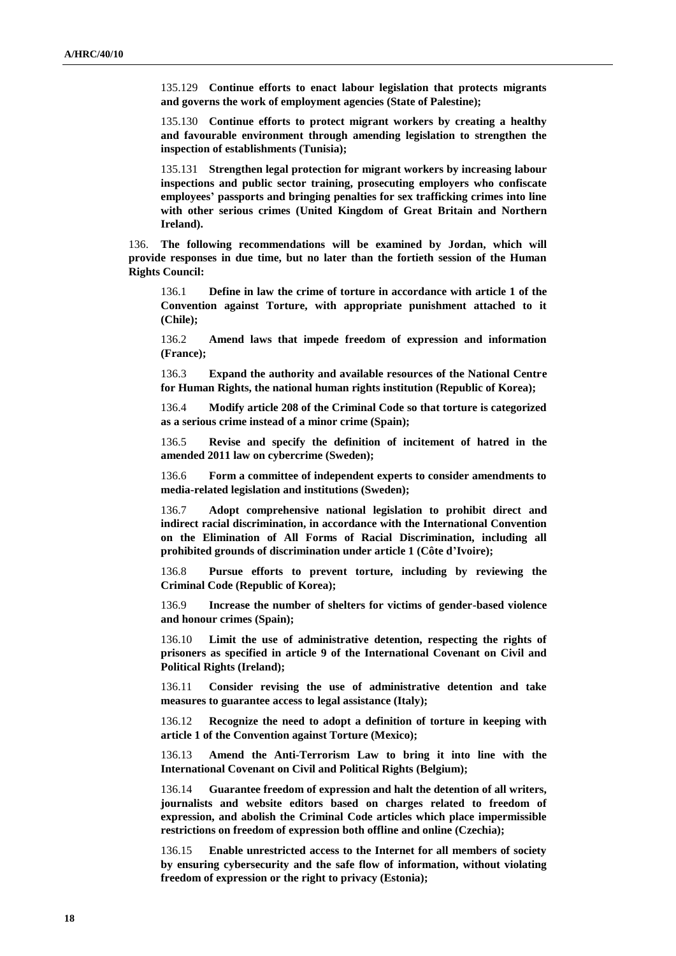135.129 **Continue efforts to enact labour legislation that protects migrants and governs the work of employment agencies (State of Palestine);**

135.130 **Continue efforts to protect migrant workers by creating a healthy and favourable environment through amending legislation to strengthen the inspection of establishments (Tunisia);**

135.131 **Strengthen legal protection for migrant workers by increasing labour inspections and public sector training, prosecuting employers who confiscate employees' passports and bringing penalties for sex trafficking crimes into line with other serious crimes (United Kingdom of Great Britain and Northern Ireland).**

136. **The following recommendations will be examined by Jordan, which will provide responses in due time, but no later than the fortieth session of the Human Rights Council:**

136.1 **Define in law the crime of torture in accordance with article 1 of the Convention against Torture, with appropriate punishment attached to it (Chile);**

136.2 **Amend laws that impede freedom of expression and information (France);**

136.3 **Expand the authority and available resources of the National Centre for Human Rights, the national human rights institution (Republic of Korea);**

136.4 **Modify article 208 of the Criminal Code so that torture is categorized as a serious crime instead of a minor crime (Spain);**

136.5 **Revise and specify the definition of incitement of hatred in the amended 2011 law on cybercrime (Sweden);**

136.6 **Form a committee of independent experts to consider amendments to media-related legislation and institutions (Sweden);**

136.7 **Adopt comprehensive national legislation to prohibit direct and indirect racial discrimination, in accordance with the International Convention on the Elimination of All Forms of Racial Discrimination, including all prohibited grounds of discrimination under article 1 (Côte d'Ivoire);**

136.8 **Pursue efforts to prevent torture, including by reviewing the Criminal Code (Republic of Korea);**

136.9 **Increase the number of shelters for victims of gender-based violence and honour crimes (Spain);**

136.10 **Limit the use of administrative detention, respecting the rights of prisoners as specified in article 9 of the International Covenant on Civil and Political Rights (Ireland);**

136.11 **Consider revising the use of administrative detention and take measures to guarantee access to legal assistance (Italy);**

136.12 **Recognize the need to adopt a definition of torture in keeping with article 1 of the Convention against Torture (Mexico);**

136.13 **Amend the Anti-Terrorism Law to bring it into line with the International Covenant on Civil and Political Rights (Belgium);**

136.14 **Guarantee freedom of expression and halt the detention of all writers, journalists and website editors based on charges related to freedom of expression, and abolish the Criminal Code articles which place impermissible restrictions on freedom of expression both offline and online (Czechia);**

136.15 **Enable unrestricted access to the Internet for all members of society by ensuring cybersecurity and the safe flow of information, without violating freedom of expression or the right to privacy (Estonia);**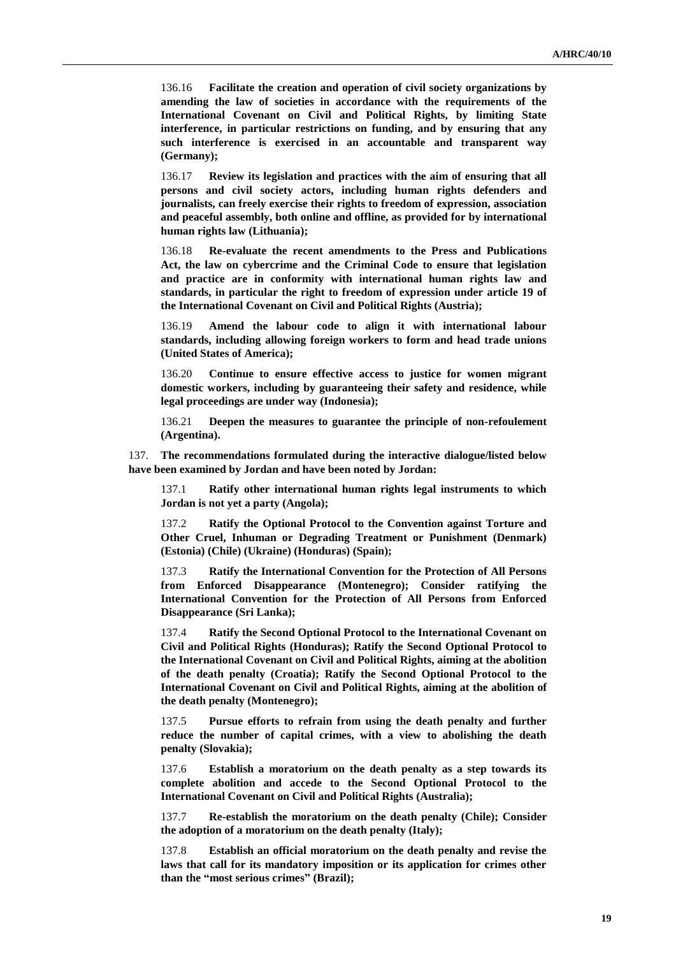136.16 **Facilitate the creation and operation of civil society organizations by amending the law of societies in accordance with the requirements of the International Covenant on Civil and Political Rights, by limiting State interference, in particular restrictions on funding, and by ensuring that any such interference is exercised in an accountable and transparent way (Germany);**

136.17 **Review its legislation and practices with the aim of ensuring that all persons and civil society actors, including human rights defenders and journalists, can freely exercise their rights to freedom of expression, association and peaceful assembly, both online and offline, as provided for by international human rights law (Lithuania);**

136.18 **Re-evaluate the recent amendments to the Press and Publications Act, the law on cybercrime and the Criminal Code to ensure that legislation and practice are in conformity with international human rights law and standards, in particular the right to freedom of expression under article 19 of the International Covenant on Civil and Political Rights (Austria);**

136.19 **Amend the labour code to align it with international labour standards, including allowing foreign workers to form and head trade unions (United States of America);**

136.20 **Continue to ensure effective access to justice for women migrant domestic workers, including by guaranteeing their safety and residence, while legal proceedings are under way (Indonesia);**

136.21 **Deepen the measures to guarantee the principle of non-refoulement (Argentina).**

137. **The recommendations formulated during the interactive dialogue/listed below have been examined by Jordan and have been noted by Jordan:**

137.1 **Ratify other international human rights legal instruments to which Jordan is not yet a party (Angola);**

137.2 **Ratify the Optional Protocol to the Convention against Torture and Other Cruel, Inhuman or Degrading Treatment or Punishment (Denmark) (Estonia) (Chile) (Ukraine) (Honduras) (Spain);**

137.3 **Ratify the International Convention for the Protection of All Persons from Enforced Disappearance (Montenegro); Consider ratifying the International Convention for the Protection of All Persons from Enforced Disappearance (Sri Lanka);**

137.4 **Ratify the Second Optional Protocol to the International Covenant on Civil and Political Rights (Honduras); Ratify the Second Optional Protocol to the International Covenant on Civil and Political Rights, aiming at the abolition of the death penalty (Croatia); Ratify the Second Optional Protocol to the International Covenant on Civil and Political Rights, aiming at the abolition of the death penalty (Montenegro);**

137.5 **Pursue efforts to refrain from using the death penalty and further reduce the number of capital crimes, with a view to abolishing the death penalty (Slovakia);**

137.6 **Establish a moratorium on the death penalty as a step towards its complete abolition and accede to the Second Optional Protocol to the International Covenant on Civil and Political Rights (Australia);**

137.7 **Re-establish the moratorium on the death penalty (Chile); Consider the adoption of a moratorium on the death penalty (Italy);**

137.8 **Establish an official moratorium on the death penalty and revise the laws that call for its mandatory imposition or its application for crimes other than the "most serious crimes" (Brazil);**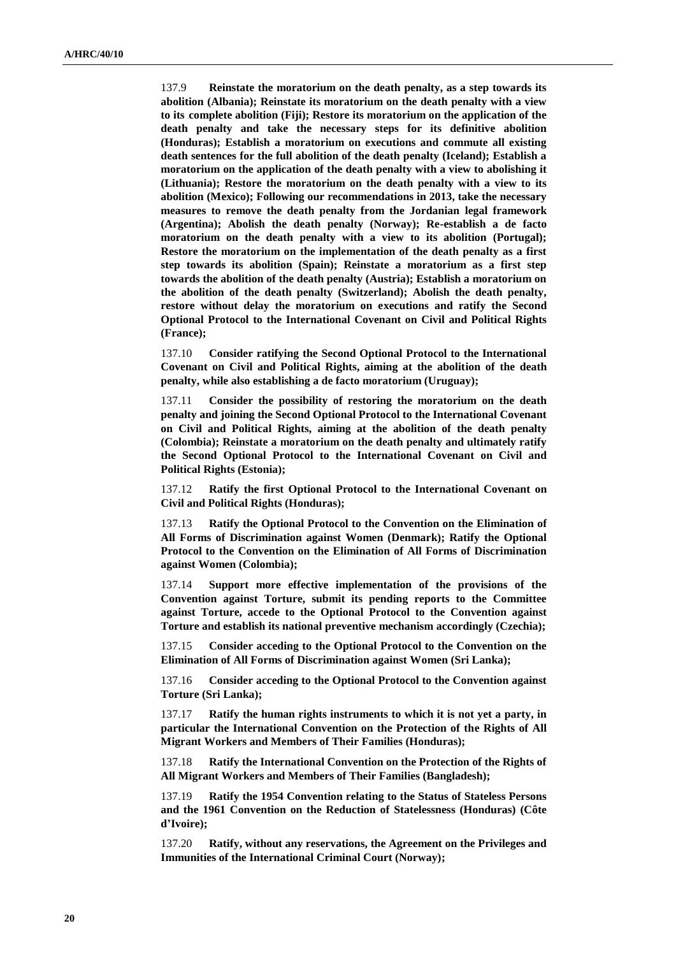137.9 **Reinstate the moratorium on the death penalty, as a step towards its abolition (Albania); Reinstate its moratorium on the death penalty with a view to its complete abolition (Fiji); Restore its moratorium on the application of the death penalty and take the necessary steps for its definitive abolition (Honduras); Establish a moratorium on executions and commute all existing death sentences for the full abolition of the death penalty (Iceland); Establish a moratorium on the application of the death penalty with a view to abolishing it (Lithuania); Restore the moratorium on the death penalty with a view to its abolition (Mexico); Following our recommendations in 2013, take the necessary measures to remove the death penalty from the Jordanian legal framework (Argentina); Abolish the death penalty (Norway); Re-establish a de facto moratorium on the death penalty with a view to its abolition (Portugal); Restore the moratorium on the implementation of the death penalty as a first step towards its abolition (Spain); Reinstate a moratorium as a first step towards the abolition of the death penalty (Austria); Establish a moratorium on the abolition of the death penalty (Switzerland); Abolish the death penalty, restore without delay the moratorium on executions and ratify the Second Optional Protocol to the International Covenant on Civil and Political Rights (France);**

137.10 **Consider ratifying the Second Optional Protocol to the International Covenant on Civil and Political Rights, aiming at the abolition of the death penalty, while also establishing a de facto moratorium (Uruguay);**

137.11 **Consider the possibility of restoring the moratorium on the death penalty and joining the Second Optional Protocol to the International Covenant on Civil and Political Rights, aiming at the abolition of the death penalty (Colombia); Reinstate a moratorium on the death penalty and ultimately ratify the Second Optional Protocol to the International Covenant on Civil and Political Rights (Estonia);**

137.12 **Ratify the first Optional Protocol to the International Covenant on Civil and Political Rights (Honduras);**

137.13 **Ratify the Optional Protocol to the Convention on the Elimination of All Forms of Discrimination against Women (Denmark); Ratify the Optional Protocol to the Convention on the Elimination of All Forms of Discrimination against Women (Colombia);** 

137.14 **Support more effective implementation of the provisions of the Convention against Torture, submit its pending reports to the Committee against Torture, accede to the Optional Protocol to the Convention against Torture and establish its national preventive mechanism accordingly (Czechia);**

137.15 **Consider acceding to the Optional Protocol to the Convention on the Elimination of All Forms of Discrimination against Women (Sri Lanka);**

137.16 **Consider acceding to the Optional Protocol to the Convention against Torture (Sri Lanka);**

137.17 **Ratify the human rights instruments to which it is not yet a party, in particular the International Convention on the Protection of the Rights of All Migrant Workers and Members of Their Families (Honduras);**

137.18 **Ratify the International Convention on the Protection of the Rights of All Migrant Workers and Members of Their Families (Bangladesh);**

137.19 **Ratify the 1954 Convention relating to the Status of Stateless Persons and the 1961 Convention on the Reduction of Statelessness (Honduras) (Côte d'Ivoire);**

137.20 **Ratify, without any reservations, the Agreement on the Privileges and Immunities of the International Criminal Court (Norway);**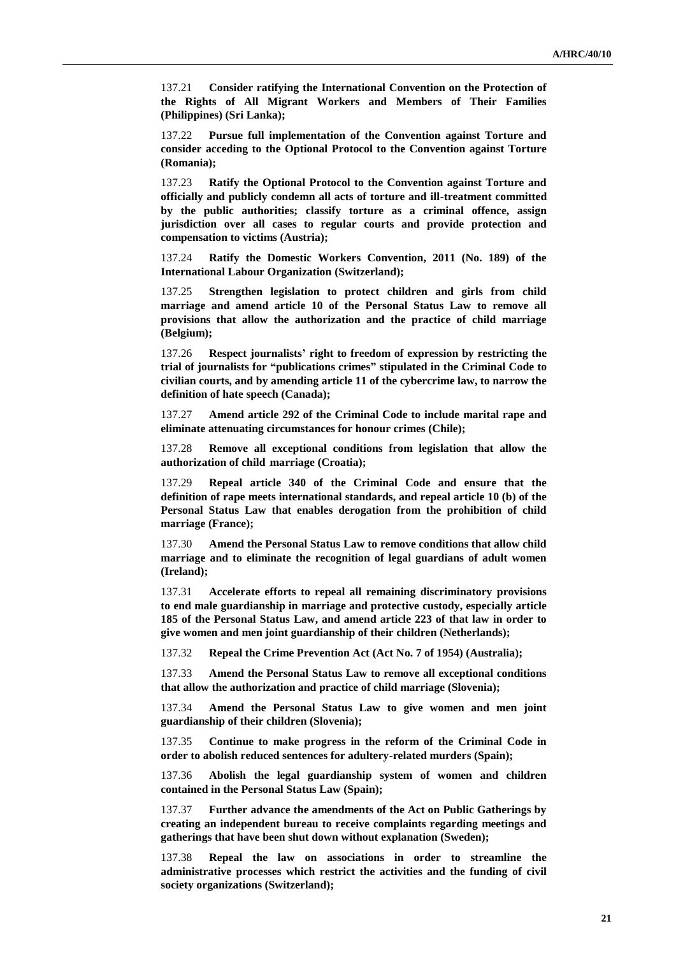137.21 **Consider ratifying the International Convention on the Protection of the Rights of All Migrant Workers and Members of Their Families (Philippines) (Sri Lanka);**

137.22 **Pursue full implementation of the Convention against Torture and consider acceding to the Optional Protocol to the Convention against Torture (Romania);**

137.23 **Ratify the Optional Protocol to the Convention against Torture and officially and publicly condemn all acts of torture and ill-treatment committed by the public authorities; classify torture as a criminal offence, assign jurisdiction over all cases to regular courts and provide protection and compensation to victims (Austria);**

137.24 **Ratify the Domestic Workers Convention, 2011 (No. 189) of the International Labour Organization (Switzerland);**

137.25 **Strengthen legislation to protect children and girls from child marriage and amend article 10 of the Personal Status Law to remove all provisions that allow the authorization and the practice of child marriage (Belgium);**

137.26 **Respect journalists' right to freedom of expression by restricting the trial of journalists for "publications crimes" stipulated in the Criminal Code to civilian courts, and by amending article 11 of the cybercrime law, to narrow the definition of hate speech (Canada);**

137.27 **Amend article 292 of the Criminal Code to include marital rape and eliminate attenuating circumstances for honour crimes (Chile);**

137.28 **Remove all exceptional conditions from legislation that allow the authorization of child marriage (Croatia);**

137.29 **Repeal article 340 of the Criminal Code and ensure that the definition of rape meets international standards, and repeal article 10 (b) of the Personal Status Law that enables derogation from the prohibition of child marriage (France);**

137.30 **Amend the Personal Status Law to remove conditions that allow child marriage and to eliminate the recognition of legal guardians of adult women (Ireland);**

137.31 **Accelerate efforts to repeal all remaining discriminatory provisions to end male guardianship in marriage and protective custody, especially article 185 of the Personal Status Law, and amend article 223 of that law in order to give women and men joint guardianship of their children (Netherlands);**

137.32 **Repeal the Crime Prevention Act (Act No. 7 of 1954) (Australia);**

137.33 **Amend the Personal Status Law to remove all exceptional conditions that allow the authorization and practice of child marriage (Slovenia);**

137.34 **Amend the Personal Status Law to give women and men joint guardianship of their children (Slovenia);**

137.35 **Continue to make progress in the reform of the Criminal Code in order to abolish reduced sentences for adultery-related murders (Spain);**

137.36 **Abolish the legal guardianship system of women and children contained in the Personal Status Law (Spain);**

137.37 **Further advance the amendments of the Act on Public Gatherings by creating an independent bureau to receive complaints regarding meetings and gatherings that have been shut down without explanation (Sweden);**

137.38 **Repeal the law on associations in order to streamline the administrative processes which restrict the activities and the funding of civil society organizations (Switzerland);**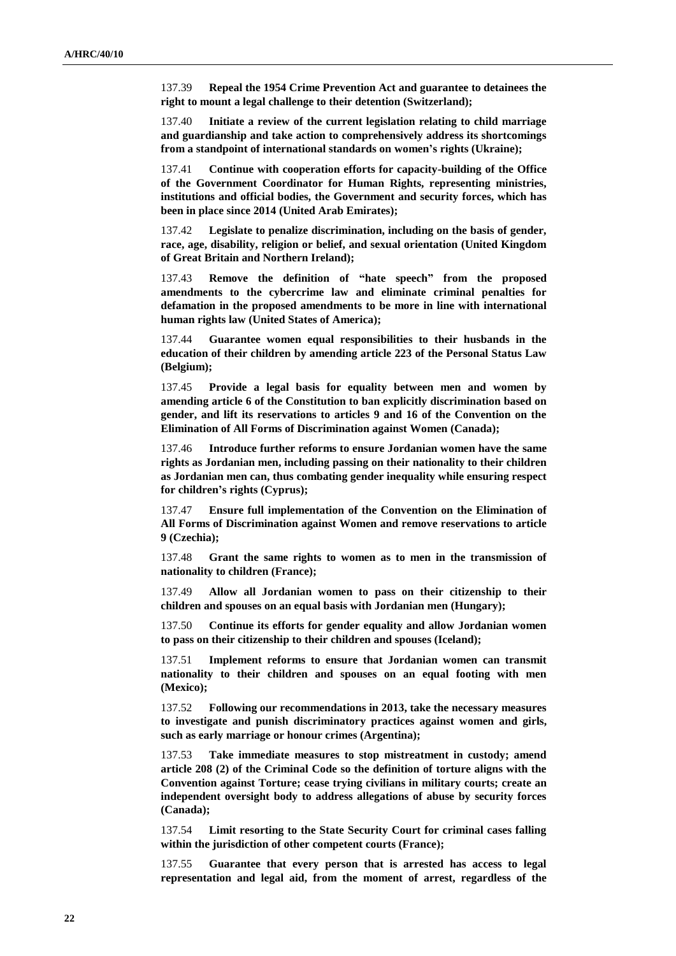137.39 **Repeal the 1954 Crime Prevention Act and guarantee to detainees the right to mount a legal challenge to their detention (Switzerland);**

137.40 **Initiate a review of the current legislation relating to child marriage and guardianship and take action to comprehensively address its shortcomings from a standpoint of international standards on women's rights (Ukraine);**

137.41 **Continue with cooperation efforts for capacity-building of the Office of the Government Coordinator for Human Rights, representing ministries, institutions and official bodies, the Government and security forces, which has been in place since 2014 (United Arab Emirates);**

137.42 **Legislate to penalize discrimination, including on the basis of gender, race, age, disability, religion or belief, and sexual orientation (United Kingdom of Great Britain and Northern Ireland);**

137.43 **Remove the definition of "hate speech" from the proposed amendments to the cybercrime law and eliminate criminal penalties for defamation in the proposed amendments to be more in line with international human rights law (United States of America);**

137.44 **Guarantee women equal responsibilities to their husbands in the education of their children by amending article 223 of the Personal Status Law (Belgium);**

137.45 **Provide a legal basis for equality between men and women by amending article 6 of the Constitution to ban explicitly discrimination based on gender, and lift its reservations to articles 9 and 16 of the Convention on the Elimination of All Forms of Discrimination against Women (Canada);**

137.46 **Introduce further reforms to ensure Jordanian women have the same rights as Jordanian men, including passing on their nationality to their children as Jordanian men can, thus combating gender inequality while ensuring respect for children's rights (Cyprus);**

137.47 **Ensure full implementation of the Convention on the Elimination of All Forms of Discrimination against Women and remove reservations to article 9 (Czechia);**

137.48 **Grant the same rights to women as to men in the transmission of nationality to children (France);**

137.49 **Allow all Jordanian women to pass on their citizenship to their children and spouses on an equal basis with Jordanian men (Hungary);**

137.50 **Continue its efforts for gender equality and allow Jordanian women to pass on their citizenship to their children and spouses (Iceland);**

137.51 **Implement reforms to ensure that Jordanian women can transmit nationality to their children and spouses on an equal footing with men (Mexico);**

137.52 **Following our recommendations in 2013, take the necessary measures to investigate and punish discriminatory practices against women and girls, such as early marriage or honour crimes (Argentina);**

137.53 **Take immediate measures to stop mistreatment in custody; amend article 208 (2) of the Criminal Code so the definition of torture aligns with the Convention against Torture; cease trying civilians in military courts; create an independent oversight body to address allegations of abuse by security forces (Canada);**

137.54 **Limit resorting to the State Security Court for criminal cases falling within the jurisdiction of other competent courts (France);**

137.55 **Guarantee that every person that is arrested has access to legal representation and legal aid, from the moment of arrest, regardless of the**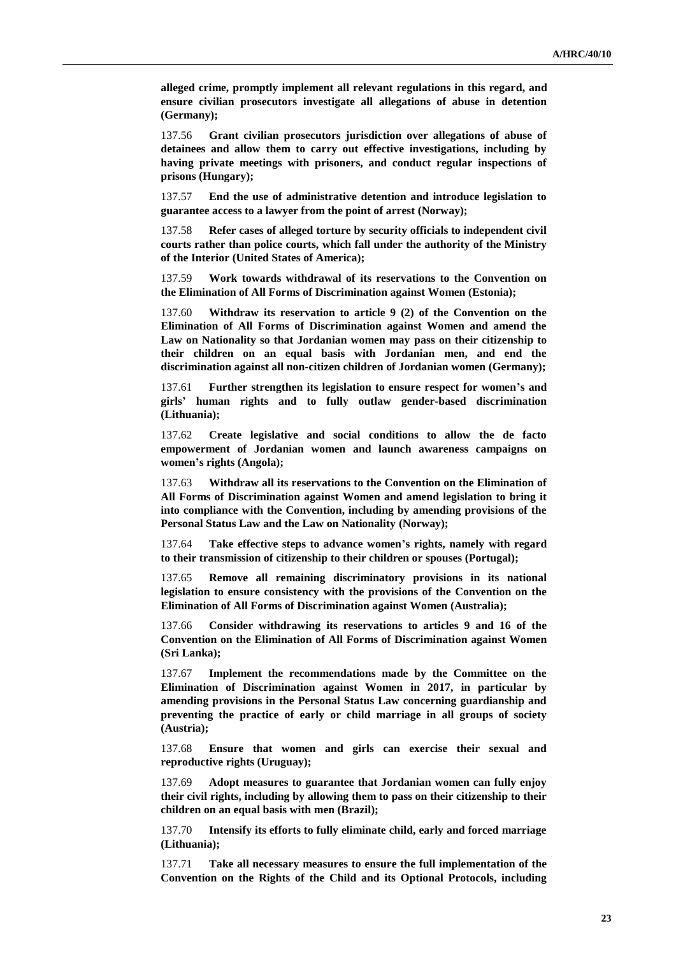**alleged crime, promptly implement all relevant regulations in this regard, and ensure civilian prosecutors investigate all allegations of abuse in detention (Germany);**

137.56 **Grant civilian prosecutors jurisdiction over allegations of abuse of detainees and allow them to carry out effective investigations, including by having private meetings with prisoners, and conduct regular inspections of prisons (Hungary);**

137.57 **End the use of administrative detention and introduce legislation to guarantee access to a lawyer from the point of arrest (Norway);**

137.58 **Refer cases of alleged torture by security officials to independent civil courts rather than police courts, which fall under the authority of the Ministry of the Interior (United States of America);**

137.59 **Work towards withdrawal of its reservations to the Convention on the Elimination of All Forms of Discrimination against Women (Estonia);**

137.60 **Withdraw its reservation to article 9 (2) of the Convention on the Elimination of All Forms of Discrimination against Women and amend the Law on Nationality so that Jordanian women may pass on their citizenship to their children on an equal basis with Jordanian men, and end the discrimination against all non-citizen children of Jordanian women (Germany);**

137.61 **Further strengthen its legislation to ensure respect for women's and girls' human rights and to fully outlaw gender-based discrimination (Lithuania);**

137.62 **Create legislative and social conditions to allow the de facto empowerment of Jordanian women and launch awareness campaigns on women's rights (Angola);**

137.63 **Withdraw all its reservations to the Convention on the Elimination of All Forms of Discrimination against Women and amend legislation to bring it into compliance with the Convention, including by amending provisions of the Personal Status Law and the Law on Nationality (Norway);**

137.64 **Take effective steps to advance women's rights, namely with regard to their transmission of citizenship to their children or spouses (Portugal);**

137.65 **Remove all remaining discriminatory provisions in its national legislation to ensure consistency with the provisions of the Convention on the Elimination of All Forms of Discrimination against Women (Australia);**

137.66 **Consider withdrawing its reservations to articles 9 and 16 of the Convention on the Elimination of All Forms of Discrimination against Women (Sri Lanka);**

137.67 **Implement the recommendations made by the Committee on the Elimination of Discrimination against Women in 2017, in particular by amending provisions in the Personal Status Law concerning guardianship and preventing the practice of early or child marriage in all groups of society (Austria);**

137.68 **Ensure that women and girls can exercise their sexual and reproductive rights (Uruguay);**

137.69 **Adopt measures to guarantee that Jordanian women can fully enjoy their civil rights, including by allowing them to pass on their citizenship to their children on an equal basis with men (Brazil);**

137.70 **Intensify its efforts to fully eliminate child, early and forced marriage (Lithuania);**

137.71 **Take all necessary measures to ensure the full implementation of the Convention on the Rights of the Child and its Optional Protocols, including**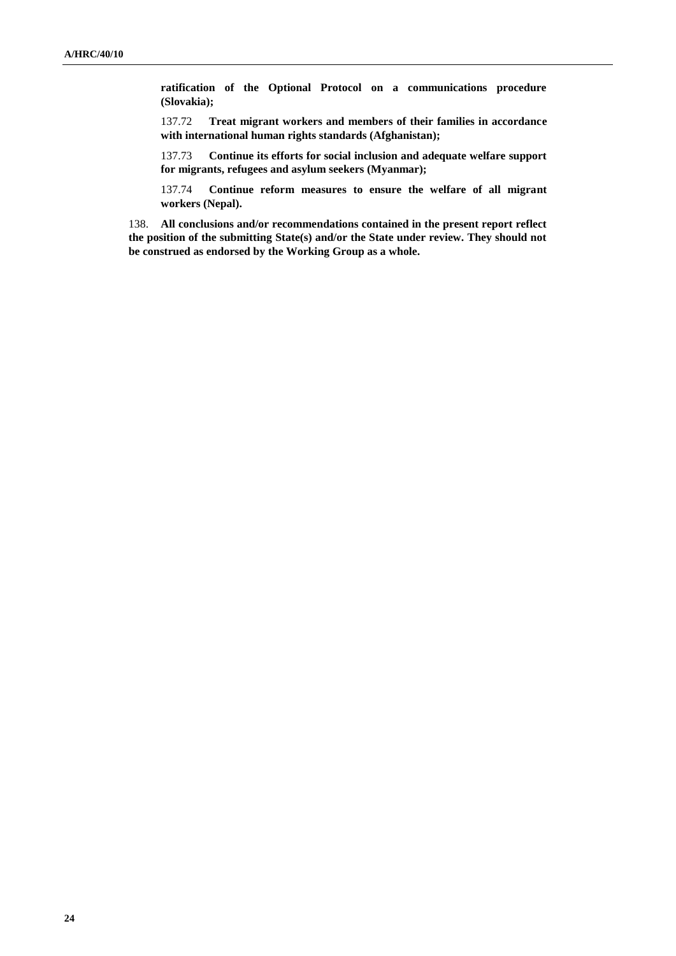**ratification of the Optional Protocol on a communications procedure (Slovakia);**

137.72 **Treat migrant workers and members of their families in accordance with international human rights standards (Afghanistan);**

137.73 **Continue its efforts for social inclusion and adequate welfare support for migrants, refugees and asylum seekers (Myanmar);**

137.74 **Continue reform measures to ensure the welfare of all migrant workers (Nepal).**

138. **All conclusions and/or recommendations contained in the present report reflect the position of the submitting State(s) and/or the State under review. They should not be construed as endorsed by the Working Group as a whole.**